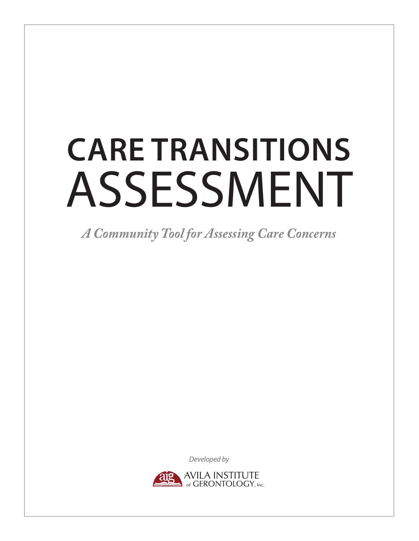# **CARE TRANSITIONS** ASSESSMENT

*A Community Tool for Assessing Care Concerns*

*Developed by*

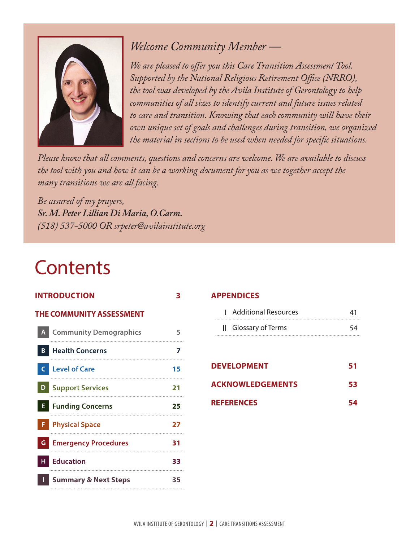

# *Welcome Community Member —*

*We are pleased to offer you this Care Transition Assessment Tool. Supported by the National Religious Retirement Office (NRRO), the tool was developed by the Avila Institute of Gerontology to help communities of all sizes to identify current and future issues related to care and transition. Knowing that each community will have their own unique set of goals and challenges during transition, we organized the material in sections to be used when needed for specific situations.*

*Please know that all comments, questions and concerns are welcome. We are available to discuss the tool with you and how it can be a working document for you as we together accept the many transitions we are all facing.*

*Be assured of my prayers, Sr. M. Peter Lillian Di Maria, O.Carm. (518) 537-5000 OR srpeter@avilainstitute.org*

# **Contents**

| <b>NTRODUCTION</b>                 | З  |
|------------------------------------|----|
| <b>THE COMMUNITY ASSESSMENT</b>    |    |
| <b>Community Demographics</b><br>A | 5  |
| <b>Health Concerns</b><br>B        | 7  |
| <b>Level of Care</b><br>C          | 15 |
| <b>Support Services</b><br>D       | 21 |
| E<br><b>Funding Concerns</b>       | 25 |
| F<br><b>Physical Space</b>         | 27 |
| <b>Emergency Procedures</b><br>G   | 31 |
| <b>Education</b><br>н              | 33 |
| <b>Summary &amp; Next Steps</b>    | 35 |

# **APPENDICES**

| Additional Resources | 41 |
|----------------------|----|
| Il Glossary of Terms | 54 |

| <b>DEVELOPMENT</b>      | 51 |
|-------------------------|----|
| <b>ACKNOWLEDGEMENTS</b> | 53 |
| <b>REFERENCES</b>       |    |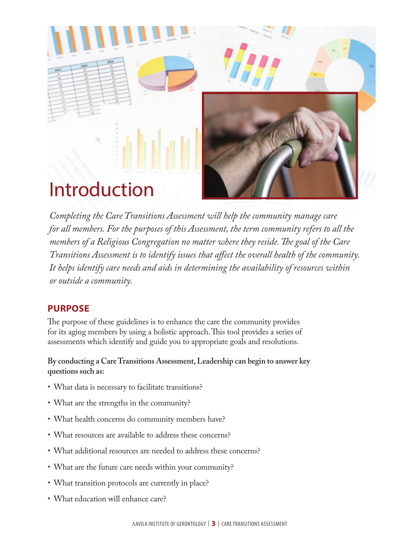

*Completing the Care Transitions Assessment will help the community manage care for all members. For the purposes of this Assessment, the term community refers to all the members of a Religious Congregation no matter where they reside. The goal of the Care Transitions Assessment is to identify issues that affect the overall health of the community. It helps identify care needs and aids in determining the availability of resources within or outside a community.*

# **PURPOSE**

The purpose of these guidelines is to enhance the care the community provides for its aging members by using a holistic approach. This tool provides a series of assessments which identify and guide you to appropriate goals and resolutions.

**By conducting a Care Transitions Assessment, Leadership can begin to answer key questions such as:** 

- What data is necessary to facilitate transitions?
- What are the strengths in the community?
- What health concerns do community members have?
- What resources are available to address these concerns?
- What additional resources are needed to address these concerns?
- What are the future care needs within your community?
- What transition protocols are currently in place?
- What education will enhance care?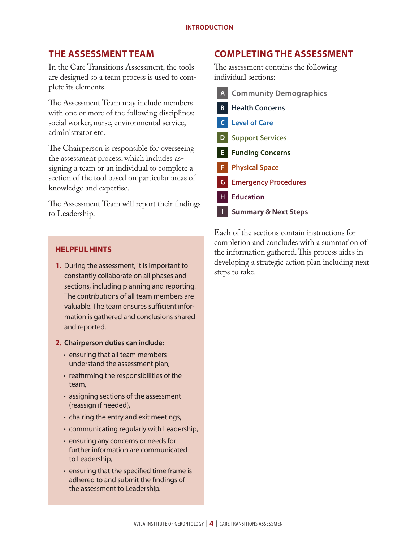# **THE ASSESSMENT TEAM**

In the Care Transitions Assessment, the tools are designed so a team process is used to complete its elements.

The Assessment Team may include members with one or more of the following disciplines: social worker, nurse, environmental service, administrator etc.

The Chairperson is responsible for overseeing the assessment process, which includes assigning a team or an individual to complete a section of the tool based on particular areas of knowledge and expertise.

The Assessment Team will report their findings to Leadership.

# **HELPFUL HINTS**

- **1.** During the assessment, it is important to constantly collaborate on all phases and sections, including planning and reporting. The contributions of all team members are valuable. The team ensures sufficient information is gathered and conclusions shared and reported.
- **2. Chairperson duties can include:**
	- ensuring that all team members understand the assessment plan,
	- reaffirming the responsibilities of the team,
	- assigning sections of the assessment (reassign if needed),
	- chairing the entry and exit meetings,
	- communicating regularly with Leadership,
	- ensuring any concerns or needs for further information are communicated to Leadership,
	- ensuring that the specified time frame is adhered to and submit the findings of the assessment to Leadership.

# **COMPLETING THE ASSESSMENT**

The assessment contains the following individual sections:

| $\mathsf{A}$ | <b>Community Demographics</b>   |
|--------------|---------------------------------|
| $\mathbf{B}$ | <b>Health Concerns</b>          |
| $\mathsf{C}$ | <b>Level of Care</b>            |
| D            | <b>Support Services</b>         |
| E.           | <b>Funding Concerns</b>         |
|              | <b>F</b> Physical Space         |
| G.           | <b>Emergency Procedures</b>     |
| н            | <b>Education</b>                |
|              | <b>Summary &amp; Next Steps</b> |

Each of the sections contain instructions for completion and concludes with a summation of the information gathered. This process aides in developing a strategic action plan including next steps to take.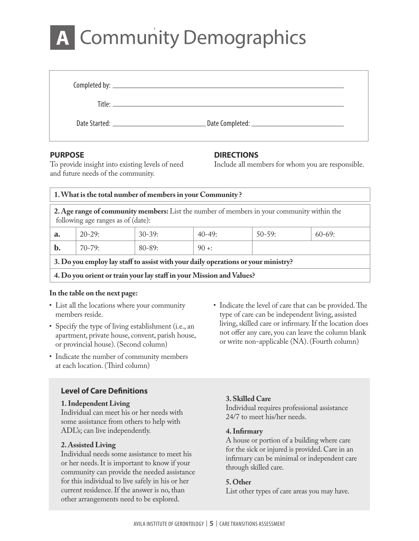# A Community Demographics

| Date Started: 2008 and 2008 and 2008 and 2008 and 2008 and 2008 and 2008 and 2008 and 2008 and 2008 and 2008 a |  |
|----------------------------------------------------------------------------------------------------------------|--|

# **PURPOSE**

# **DIRECTIONS**

Include all members for whom you are responsible.

To provide insight into existing levels of need and future needs of the community.

| 1. What is the total number of members in your Community?                                                                        |            |            |            |            |          |
|----------------------------------------------------------------------------------------------------------------------------------|------------|------------|------------|------------|----------|
| 2. Age range of community members: List the number of members in your community within the<br>following age ranges as of (date): |            |            |            |            |          |
| $a_{\cdot}$                                                                                                                      | $20 - 29:$ | $30-39$    | $40 - 49:$ | $50 - 59:$ | $60-69:$ |
| b.                                                                                                                               | $70 - 79:$ | $80 - 89:$ | $90 +:$    |            |          |
| 3. Do you employ lay staff to assist with your daily operations or your ministry?                                                |            |            |            |            |          |
| 4. Do you orient or train your lay staff in your Mission and Values?                                                             |            |            |            |            |          |

# **In the table on the next page:**

- List all the locations where your community members reside.
- Specify the type of living establishment (i.e., an apartment, private house, convent, parish house, or provincial house). (Second column)
- Indicate the number of community members at each location. (Third column)

# **Level of Care Definitions**

# **1. Independent Living**

Individual can meet his or her needs with some assistance from others to help with ADL's; can live independently.

# **2. Assisted Living**

Individual needs some assistance to meet his or her needs. It is important to know if your community can provide the needed assistance for this individual to live safely in his or her current residence. If the answer is no, than other arrangements need to be explored.

• Indicate the level of care that can be provided. The type of care can be independent living, assisted living, skilled care or infirmary. If the location does not offer any care, you can leave the column blank or write non-applicable (NA). (Fourth column)

# **3. Skilled Care**

Individual requires professional assistance 24/7 to meet his/her needs.

# **4. Infirmary**

A house or portion of a building where care for the sick or injured is provided. Care in an infirmary can be minimal or independent care through skilled care.

# **5. Other**

List other types of care areas you may have.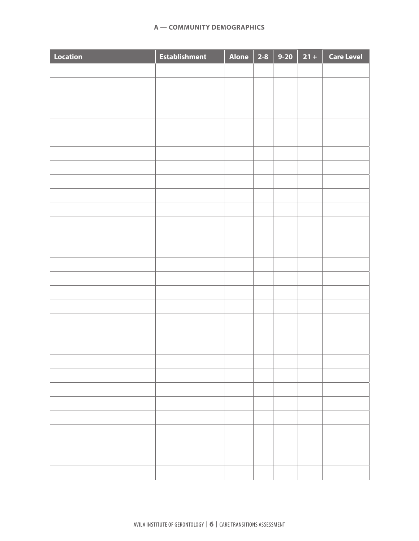| <b>Location</b> | <b>Establishment</b> | Alone 2-8 9-20 21 + |  | <b>Care Level</b> |
|-----------------|----------------------|---------------------|--|-------------------|
|                 |                      |                     |  |                   |
|                 |                      |                     |  |                   |
|                 |                      |                     |  |                   |
|                 |                      |                     |  |                   |
|                 |                      |                     |  |                   |
|                 |                      |                     |  |                   |
|                 |                      |                     |  |                   |
|                 |                      |                     |  |                   |
|                 |                      |                     |  |                   |
|                 |                      |                     |  |                   |
|                 |                      |                     |  |                   |
|                 |                      |                     |  |                   |
|                 |                      |                     |  |                   |
|                 |                      |                     |  |                   |
|                 |                      |                     |  |                   |
|                 |                      |                     |  |                   |
|                 |                      |                     |  |                   |
|                 |                      |                     |  |                   |
|                 |                      |                     |  |                   |
|                 |                      |                     |  |                   |
|                 |                      |                     |  |                   |
|                 |                      |                     |  |                   |
|                 |                      |                     |  |                   |
|                 |                      |                     |  |                   |
|                 |                      |                     |  |                   |
|                 |                      |                     |  |                   |
|                 |                      |                     |  |                   |
|                 |                      |                     |  |                   |
|                 |                      |                     |  |                   |
|                 |                      |                     |  |                   |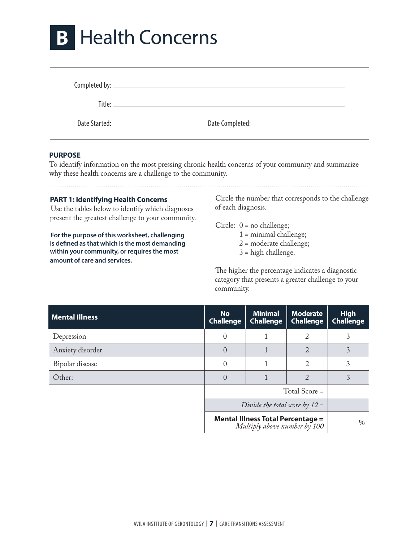# **B** Health Concerns

# **PURPOSE**

To identify information on the most pressing chronic health concerns of your community and summarize why these health concerns are a challenge to the community.

# **PART 1: Identifying Health Concerns**

Use the tables below to identify which diagnoses present the greatest challenge to your community.

**For the purpose of this worksheet, challenging is defined as that which is the most demanding within your community, or requires the most amount of care and services.**

Circle the number that corresponds to the challenge of each diagnosis.

Circle: 0 = no challenge;

- 1 = minimal challenge;
- 2 = moderate challenge;
- 3 = high challenge.

The higher the percentage indicates a diagnostic category that presents a greater challenge to your community.

| <b>Mental Illness</b> | <b>No</b><br><b>Challenge</b>                                            | <b>Minimal</b><br><b>Challenge</b> | <b>Moderate</b><br><b>Challenge</b> | <b>High</b><br><b>Challenge</b> |
|-----------------------|--------------------------------------------------------------------------|------------------------------------|-------------------------------------|---------------------------------|
| Depression            | 0                                                                        |                                    | 2                                   | 3                               |
| Anxiety disorder      | $\Omega$                                                                 |                                    | 2                                   | 3                               |
| Bipolar disease       | 0                                                                        |                                    | 2                                   | 3                               |
| Other:                | $\Omega$                                                                 |                                    | 2                                   | 3                               |
|                       |                                                                          | Total Score =                      |                                     |                                 |
|                       | Divide the total score by $12 =$                                         |                                    |                                     |                                 |
|                       | <b>Mental Illness Total Percentage =</b><br>Multiply above number by 100 |                                    |                                     |                                 |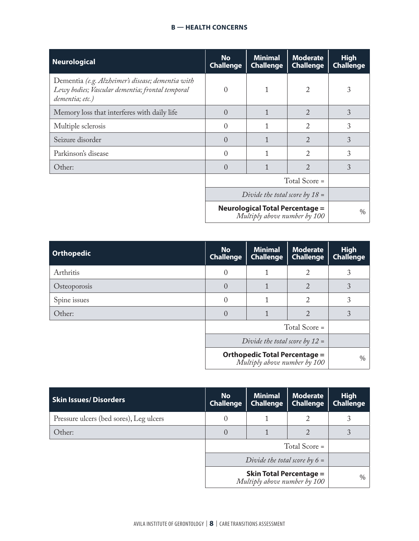| <b>Neurological</b>                                                                                                      | <b>No</b><br><b>Challenge</b>                                          | <b>Minimal</b><br><b>Challenge</b> | <b>Moderate</b><br><b>Challenge</b> | <b>High</b><br><b>Challenge</b> |
|--------------------------------------------------------------------------------------------------------------------------|------------------------------------------------------------------------|------------------------------------|-------------------------------------|---------------------------------|
| Dementia (e.g. Alzheimer's disease; dementia with<br>Lewy bodies; Vascular dementia; frontal temporal<br>dementia; etc.) | $\Omega$                                                               |                                    | 2                                   | 3                               |
| Memory loss that interferes with daily life                                                                              | $\Omega$                                                               |                                    | $\overline{2}$                      | 3                               |
| Multiple sclerosis                                                                                                       | $\Omega$                                                               |                                    | 2                                   | 3                               |
| Seizure disorder                                                                                                         | $\Omega$                                                               |                                    | $\overline{2}$                      | 3                               |
| Parkinson's disease                                                                                                      | $\Omega$                                                               |                                    | $\mathfrak{D}$                      | 3                               |
| Other:                                                                                                                   | $\Omega$                                                               |                                    | $\mathfrak{D}$                      | 3                               |
|                                                                                                                          |                                                                        | Total Score =                      |                                     |                                 |
|                                                                                                                          | Divide the total score by $18 =$                                       |                                    |                                     |                                 |
|                                                                                                                          | <b>Neurological Total Percentage =</b><br>Multiply above number by 100 | $\frac{0}{0}$                      |                                     |                                 |

| <b>Orthopedic</b> | <b>No</b><br><b>Challenge</b>                                                                            | <b>Minimal</b><br><b>Challenge</b> | <b>Moderate</b><br><b>Challenge</b> | <b>High</b><br><b>Challenge</b> |
|-------------------|----------------------------------------------------------------------------------------------------------|------------------------------------|-------------------------------------|---------------------------------|
| Arthritis         | $\Omega$                                                                                                 |                                    | 2                                   |                                 |
| Osteoporosis      | $\Omega$                                                                                                 |                                    | $\overline{2}$                      | 3                               |
| Spine issues      | $\Omega$                                                                                                 |                                    | 2                                   | 3                               |
| Other:            | $\Omega$                                                                                                 |                                    | 2                                   | 3                               |
|                   |                                                                                                          | Total Score =                      |                                     |                                 |
|                   | Divide the total score by $12 =$<br><b>Orthopedic Total Percentage =</b><br>Multiply above number by 100 |                                    |                                     |                                 |
|                   |                                                                                                          |                                    |                                     | $\%$                            |

| <b>Skin Issues/Disorders</b>            | <b>No</b><br><b>Challenge</b>                                                                     | <b>Minimal</b><br><b>Challenge</b> | <b>Moderate</b><br><b>Challenge</b> | <b>High</b><br><b>Challenge</b> |
|-----------------------------------------|---------------------------------------------------------------------------------------------------|------------------------------------|-------------------------------------|---------------------------------|
| Pressure ulcers (bed sores), Leg ulcers | 0                                                                                                 |                                    |                                     | 3                               |
| Other:                                  | $\Omega$                                                                                          |                                    |                                     |                                 |
|                                         |                                                                                                   |                                    |                                     |                                 |
|                                         | Divide the total score by $6 =$<br><b>Skin Total Percentage =</b><br>Multiply above number by 100 |                                    |                                     |                                 |
|                                         |                                                                                                   |                                    |                                     | $\%$                            |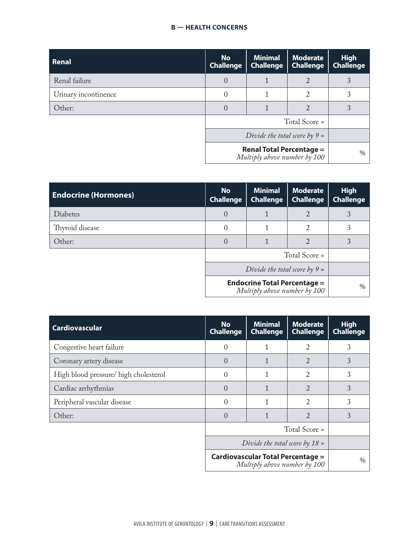| <b>Renal</b>         | <b>No</b><br><b>Challenge</b> | <b>Minimal</b><br><b>Challenge</b>                              | <b>Moderate</b><br><b>Challenge</b> | <b>High</b><br><b>Challenge</b> |
|----------------------|-------------------------------|-----------------------------------------------------------------|-------------------------------------|---------------------------------|
| Renal failure        | $\Omega$                      |                                                                 | $\overline{2}$                      |                                 |
| Urinary incontinence | 0                             |                                                                 | 2                                   | 3                               |
| Other:               | $\left( \right)$              |                                                                 | 2                                   |                                 |
|                      |                               |                                                                 | Total Score =                       |                                 |
|                      |                               | Divide the total score by $9 =$                                 |                                     |                                 |
|                      |                               | <b>Renal Total Percentage =</b><br>Multiply above number by 100 |                                     | $\%$                            |

| <b>Endocrine (Hormones)</b> | <b>No</b><br><b>Challenge</b>   | <b>Minimal</b><br><b>Challenge</b>                                  | <b>Moderate</b><br><b>Challenge</b> | <b>High</b><br><b>Challenge</b> |
|-----------------------------|---------------------------------|---------------------------------------------------------------------|-------------------------------------|---------------------------------|
| <b>Diabetes</b>             | $\Omega$                        |                                                                     | 2                                   | 3                               |
| Thyroid disease             | 0                               |                                                                     | 2                                   | 3                               |
| Other:                      | $\left( \right)$                |                                                                     | 2                                   | 3                               |
|                             |                                 |                                                                     | Total Score =                       |                                 |
|                             | Divide the total score by $9 =$ |                                                                     |                                     |                                 |
|                             |                                 | <b>Endocrine Total Percentage =</b><br>Multiply above number by 100 |                                     | $\%$                            |

| <b>Cardiovascular</b>                | <b>No</b><br><b>Challenge</b> | <b>Minimal</b><br><b>Challenge</b>                                       | <b>Moderate</b><br><b>Challenge</b> | <b>High</b><br><b>Challenge</b> |
|--------------------------------------|-------------------------------|--------------------------------------------------------------------------|-------------------------------------|---------------------------------|
| Congestive heart failure             | $\Omega$                      |                                                                          | 2                                   | 3                               |
| Coronary artery disease              | $\Omega$                      |                                                                          | 2                                   | 3                               |
| High blood pressure/high cholesterol | 0                             |                                                                          | $\overline{2}$                      | 3                               |
| Cardiac arrhythmias                  | $\Omega$                      |                                                                          | 2                                   | 3                               |
| Peripheral vascular disease          | 0                             | 1                                                                        | 2                                   | 3                               |
| Other:                               | $\Omega$                      |                                                                          | 2                                   | 3                               |
|                                      |                               |                                                                          | Total Score =                       |                                 |
|                                      |                               | Divide the total score by $18 =$                                         |                                     |                                 |
|                                      |                               | <b>Cardiovascular Total Percentage =</b><br>Multiply above number by 100 |                                     | $\frac{0}{0}$                   |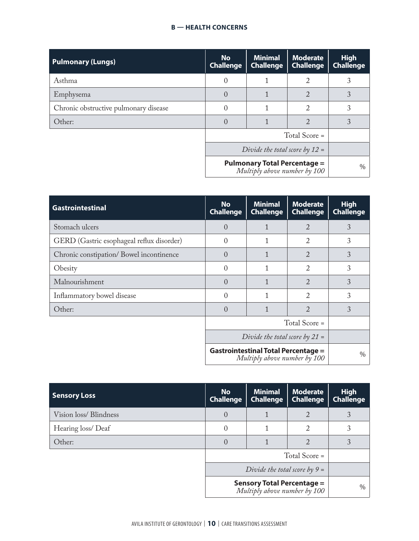| <b>Pulmonary (Lungs)</b>              | <b>No</b><br><b>Challenge</b> | <b>Minimal</b><br><b>Challenge</b>                                  | <b>Moderate</b><br><b>Challenge</b> | <b>High</b><br><b>Challenge</b> |
|---------------------------------------|-------------------------------|---------------------------------------------------------------------|-------------------------------------|---------------------------------|
| Asthma                                | 0                             |                                                                     | 2                                   | 3                               |
| Emphysema                             | $\Omega$                      |                                                                     | $\overline{2}$                      | 3                               |
| Chronic obstructive pulmonary disease | 0                             |                                                                     | 2                                   | 3                               |
| Other:                                | $\Omega$                      |                                                                     | 2                                   | 3                               |
|                                       |                               |                                                                     | Total Score =                       |                                 |
|                                       |                               | Divide the total score by $12 =$                                    |                                     |                                 |
|                                       |                               | <b>Pulmonary Total Percentage =</b><br>Multiply above number by 100 |                                     | $\%$                            |

| <b>Gastrointestinal</b>                   | <b>No</b><br><b>Challenge</b> | <b>Minimal</b><br><b>Challenge</b>                                         | <b>Moderate</b><br><b>Challenge</b> | <b>High</b><br><b>Challenge</b> |
|-------------------------------------------|-------------------------------|----------------------------------------------------------------------------|-------------------------------------|---------------------------------|
| Stomach ulcers                            | $\theta$                      | 1                                                                          | 2                                   | 3                               |
| GERD (Gastric esophageal reflux disorder) | $\Omega$                      | 1                                                                          | 2                                   | 3                               |
| Chronic constipation/Bowel incontinence   | $\left( \right)$              | 1                                                                          | 2                                   | 3                               |
| Obesity                                   | $\Omega$                      | 1                                                                          | 2                                   | 3                               |
| Malnourishment                            | 0                             | 1                                                                          | $\overline{2}$                      | 3                               |
| Inflammatory bowel disease                | 0                             | 1                                                                          | $\overline{2}$                      | 3                               |
| Other:                                    | $\Omega$                      | $\mathbf{1}$                                                               | $\mathfrak{D}$                      | 3                               |
|                                           |                               |                                                                            | Total Score =                       |                                 |
|                                           |                               | Divide the total score by $21 =$                                           |                                     |                                 |
|                                           |                               | <b>Gastrointestinal Total Percentage =</b><br>Multiply above number by 100 |                                     | $\%$                            |

| <b>Sensory Loss</b>             | <b>No</b><br><b>Challenge</b> | <b>Minimal</b><br><b>Challenge</b>                                | <b>Moderate</b><br><b>Challenge</b> | <b>High</b><br><b>Challenge</b> |
|---------------------------------|-------------------------------|-------------------------------------------------------------------|-------------------------------------|---------------------------------|
| Vision loss/Blindness           | $\Omega$                      |                                                                   | 2                                   | 3                               |
| Hearing loss/Deaf               | $\Omega$                      |                                                                   | 2                                   | 3                               |
| Other:                          |                               |                                                                   | 2                                   | 3                               |
|                                 |                               |                                                                   | Total Score =                       |                                 |
| Divide the total score by $9 =$ |                               |                                                                   |                                     |                                 |
|                                 |                               | <b>Sensory Total Percentage =</b><br>Multiply above number by 100 |                                     | $\%$                            |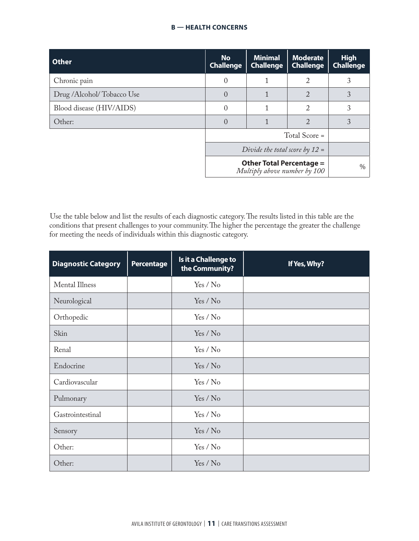| <b>Other</b>                                                    | <b>No</b><br><b>Challenge</b> | <b>Minimal</b><br><b>Challenge</b> | <b>Moderate</b><br><b>Challenge</b> | <b>High</b><br><b>Challenge</b> |
|-----------------------------------------------------------------|-------------------------------|------------------------------------|-------------------------------------|---------------------------------|
| Chronic pain                                                    | $\left( \right)$              |                                    | 2                                   | 3                               |
| Drug /Alcohol/Tobacco Use                                       | $\Omega$                      |                                    | $\mathcal{D}$                       | 3                               |
| Blood disease (HIV/AIDS)                                        | 0                             |                                    | 2                                   | 3                               |
| Other:                                                          | $\Omega$                      |                                    | 2                                   | 3                               |
|                                                                 |                               |                                    | Total Score =                       |                                 |
|                                                                 |                               | Divide the total score by $12 =$   |                                     |                                 |
| <b>Other Total Percentage =</b><br>Multiply above number by 100 |                               |                                    | $\%$                                |                                 |

Use the table below and list the results of each diagnostic category. The results listed in this table are the conditions that present challenges to your community. The higher the percentage the greater the challenge for meeting the needs of individuals within this diagnostic category.

| <b>Diagnostic Category</b> | <b>Percentage</b> | Is it a Challenge to<br>the Community? | If Yes, Why? |
|----------------------------|-------------------|----------------------------------------|--------------|
| <b>Mental Illness</b>      |                   | Yes / No                               |              |
| Neurological               |                   | Yes / No                               |              |
| Orthopedic                 |                   | Yes / No                               |              |
| Skin                       |                   | Yes / No                               |              |
| Renal                      |                   | Yes / No                               |              |
| Endocrine                  |                   | Yes / No                               |              |
| Cardiovascular             |                   | Yes / No                               |              |
| Pulmonary                  |                   | Yes / No                               |              |
| Gastrointestinal           |                   | Yes / No                               |              |
| Sensory                    |                   | Yes / No                               |              |
| Other:                     |                   | Yes / No                               |              |
| Other:                     |                   | Yes / No                               |              |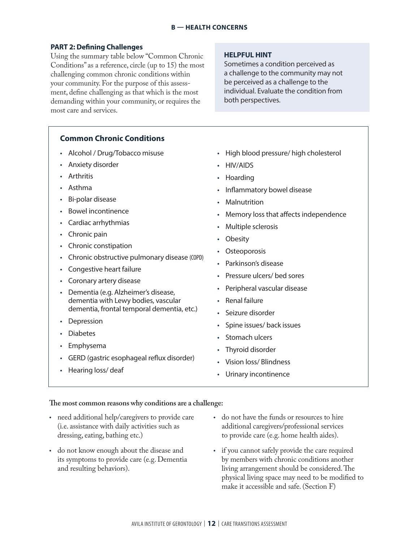# **PART 2: Defining Challenges**

Using the summary table below "Common Chronic Conditions" as a reference, circle (up to 15) the most challenging common chronic conditions within your community. For the purpose of this assessment, define challenging as that which is the most demanding within your community, or requires the most care and services.

# **HELPFUL HINT**

Sometimes a condition perceived as a challenge to the community may not be perceived as a challenge to the individual. Evaluate the condition from both perspectives.

# **Common Chronic Conditions**

- Alcohol / Drug/Tobacco misuse
- Anxiety disorder
- Arthritis
- Asthma
- Bi-polar disease
- Bowel incontinence
- Cardiac arrhythmias
- Chronic pain
- Chronic constipation
- Chronic obstructive pulmonary disease (COPD)
- Congestive heart failure
- Coronary artery disease
- Dementia (e.g. Alzheimer's disease, dementia with Lewy bodies, vascular dementia, frontal temporal dementia, etc.)
- Depression
- Diabetes
- Emphysema
- GERD (gastric esophageal reflux disorder)
- Hearing loss/ deaf
- High blood pressure/ high cholesterol
- HIV/AIDS
- Hoarding
- Inflammatory bowel disease
- **Malnutrition**
- Memory loss that affects independence
- Multiple sclerosis
- **Obesity**
- **Osteoporosis**
- Parkinson's disease
- Pressure ulcers/ bed sores
- Peripheral vascular disease
- Renal failure
- Seizure disorder
- Spine issues/ back issues
- Stomach ulcers
- Thyroid disorder
- Vision loss/ Blindness
- Urinary incontinence

# **The most common reasons why conditions are a challenge:**

- need additional help/caregivers to provide care (i.e. assistance with daily activities such as dressing, eating, bathing etc.)
- do not know enough about the disease and its symptoms to provide care (e.g. Dementia and resulting behaviors).
- do not have the funds or resources to hire additional caregivers/professional services to provide care (e.g. home health aides).
- if you cannot safely provide the care required by members with chronic conditions another living arrangement should be considered. The physical living space may need to be modified to make it accessible and safe. (Section F)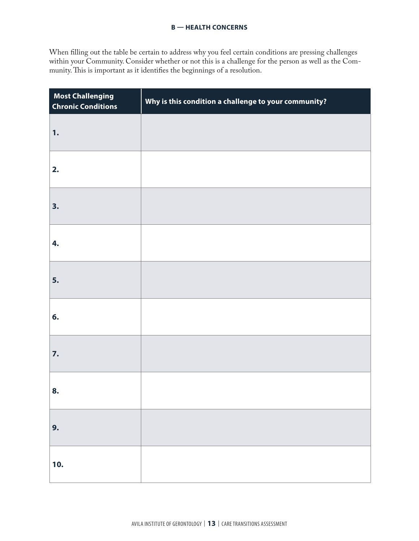When filling out the table be certain to address why you feel certain conditions are pressing challenges within your Community. Consider whether or not this is a challenge for the person as well as the Community. This is important as it identifies the beginnings of a resolution.

| <b>Most Challenging</b><br><b>Chronic Conditions</b> | Why is this condition a challenge to your community? |
|------------------------------------------------------|------------------------------------------------------|
| 1.                                                   |                                                      |
| 2.                                                   |                                                      |
| 3.                                                   |                                                      |
| 4.                                                   |                                                      |
| 5.                                                   |                                                      |
| 6.                                                   |                                                      |
| 7.                                                   |                                                      |
| 8.                                                   |                                                      |
| 9.                                                   |                                                      |
| 10.                                                  |                                                      |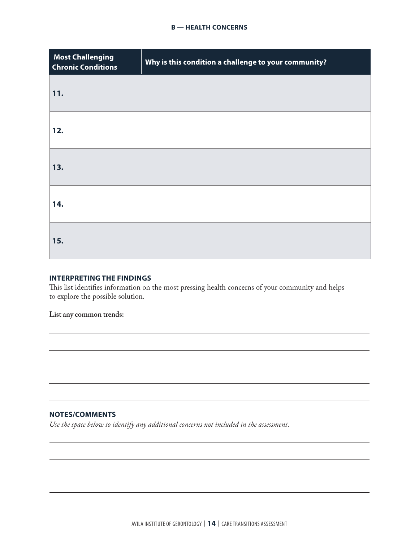| <b>Most Challenging</b><br><b>Chronic Conditions</b> | Why is this condition a challenge to your community? |
|------------------------------------------------------|------------------------------------------------------|
| 11.                                                  |                                                      |
| 12.                                                  |                                                      |
| 13.                                                  |                                                      |
| 14.                                                  |                                                      |
| 15.                                                  |                                                      |

# **INTERPRETING THE FINDINGS**

This list identifies information on the most pressing health concerns of your community and helps to explore the possible solution.

**List any common trends:**

# **NOTES/COMMENTS**

*Use the space below to identify any additional concerns not included in the assessment.*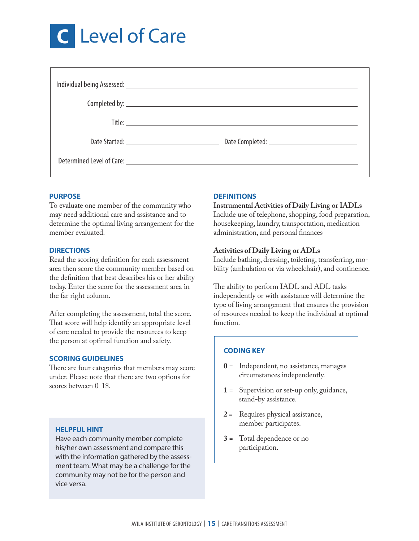

# **PURPOSE**

To evaluate one member of the community who may need additional care and assistance and to determine the optimal living arrangement for the member evaluated.

# **DIRECTIONS**

Read the scoring definition for each assessment area then score the community member based on the definition that best describes his or her ability today. Enter the score for the assessment area in the far right column.

After completing the assessment, total the score. That score will help identify an appropriate level of care needed to provide the resources to keep the person at optimal function and safety.

### **SCORING GUIDELINES**

There are four categories that members may score under. Please note that there are two options for scores between 0-18.

# **HELPFUL HINT**

Have each community member complete his/her own assessment and compare this with the information gathered by the assessment team. What may be a challenge for the community may not be for the person and vice versa.

# **DEFINITIONS**

**Instrumental Activities of Daily Living or IADLs** Include use of telephone, shopping, food preparation, housekeeping, laundry, transportation, medication administration, and personal finances

# **Activities of Daily Living or ADLs**

Include bathing, dressing, toileting, transferring, mobility (ambulation or via wheelchair), and continence.

The ability to perform IADL and ADL tasks independently or with assistance will determine the type of living arrangement that ensures the provision of resources needed to keep the individual at optimal function.

# **CODING KEY**

- **0** = Independent, no assistance, manages circumstances independently.
- **1** = Supervision or set-up only, guidance, stand-by assistance.
- **2** = Requires physical assistance, member participates.
- **3** = Total dependence or no participation.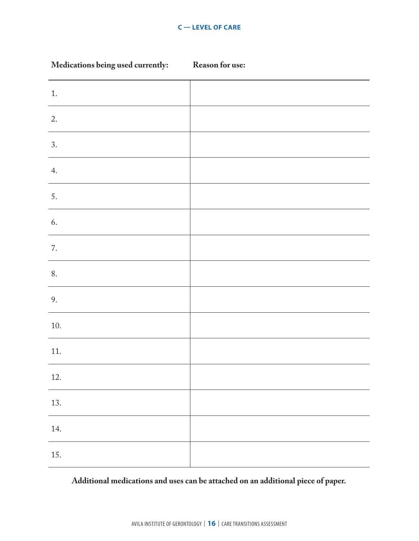| Medications being used currently: | <b>Reason for use:</b> |
|-----------------------------------|------------------------|
| 1.                                |                        |
| 2.                                |                        |
| 3.                                |                        |
| 4.                                |                        |
| 5.                                |                        |
| 6.                                |                        |
| 7.                                |                        |
| $8. \,$                           |                        |
| 9.                                |                        |
| $10.$                             |                        |
| 11.                               |                        |
| 12.                               |                        |
| 13.                               |                        |
| 14.                               |                        |
| 15.                               |                        |

# **Additional medications and uses can be attached on an additional piece of paper.**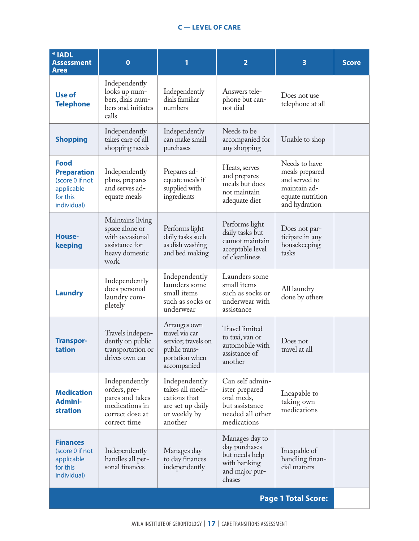| * IADL<br><b>Assessment</b><br>Area                                                           | $\mathbf 0$                                                                                           | 1                                                                                                       | $\overline{2}$                                                                                       | 3                                                                                                     | <b>Score</b> |  |  |
|-----------------------------------------------------------------------------------------------|-------------------------------------------------------------------------------------------------------|---------------------------------------------------------------------------------------------------------|------------------------------------------------------------------------------------------------------|-------------------------------------------------------------------------------------------------------|--------------|--|--|
| <b>Use of</b><br><b>Telephone</b>                                                             | Independently<br>looks up num-<br>bers, dials num-<br>bers and initiates<br>calls                     | Independently<br>dials familiar<br>numbers                                                              | Answers tele-<br>phone but can-<br>not dial                                                          | Does not use<br>telephone at all                                                                      |              |  |  |
| <b>Shopping</b>                                                                               | Independently<br>takes care of all<br>shopping needs                                                  | Independently<br>can make small<br>purchases                                                            | Needs to be<br>accompanied for<br>any shopping                                                       | Unable to shop                                                                                        |              |  |  |
| <b>Food</b><br><b>Preparation</b><br>(score 0 if not<br>applicable<br>for this<br>individual) | Independently<br>plans, prepares<br>and serves ad-<br>equate meals                                    | Prepares ad-<br>equate meals if<br>supplied with<br>ingredients                                         | Heats, serves<br>and prepares<br>meals but does<br>not maintain<br>adequate diet                     | Needs to have<br>meals prepared<br>and served to<br>maintain ad-<br>equate nutrition<br>and hydration |              |  |  |
| <b>House-</b><br>keeping                                                                      | Maintains living<br>space alone or<br>with occasional<br>assistance for<br>heavy domestic<br>work     | Performs light<br>daily tasks such<br>as dish washing<br>and bed making                                 | Performs light<br>daily tasks but<br>cannot maintain<br>acceptable level<br>of cleanliness           | Does not par-<br>ticipate in any<br>housekeeping<br>tasks                                             |              |  |  |
| <b>Laundry</b>                                                                                | Independently<br>does personal<br>laundry com-<br>pletely                                             | Independently<br>launders some<br>small items<br>such as socks or<br>underwear                          | Launders some<br>small items<br>such as socks or<br>underwear with<br>assistance                     | All laundry<br>done by others                                                                         |              |  |  |
| <b>Transpor-</b><br>tation                                                                    | Travels indepen-<br>dently on public<br>transportation or<br>drives own car                           | Arranges own<br>travel via car<br>service; travels on<br>public trans-<br>portation when<br>accompanied | Travel limited<br>to taxi, van or<br>automobile with<br>assistance of<br>another                     | Does not<br>travel at all                                                                             |              |  |  |
| <b>Medication</b><br><b>Admini-</b><br><b>stration</b>                                        | Independently<br>orders, pre-<br>pares and takes<br>medications in<br>correct dose at<br>correct time | Independently<br>takes all medi-<br>cations that<br>are set up daily<br>or weekly by<br>another         | Can self admin-<br>ister prepared<br>oral meds,<br>but assistance<br>needed all other<br>medications | Incapable to<br>taking own<br>medications                                                             |              |  |  |
| <b>Finances</b><br>(score 0 if not<br>applicable<br>for this<br>individual)                   | Independently<br>handles all per-<br>sonal finances                                                   | Manages day<br>to day finances<br>independently                                                         | Manages day to<br>day purchases<br>but needs help<br>with banking<br>and major pur-<br>chases        | Incapable of<br>handling finan-<br>cial matters                                                       |              |  |  |
| <b>Page 1 Total Score:</b>                                                                    |                                                                                                       |                                                                                                         |                                                                                                      |                                                                                                       |              |  |  |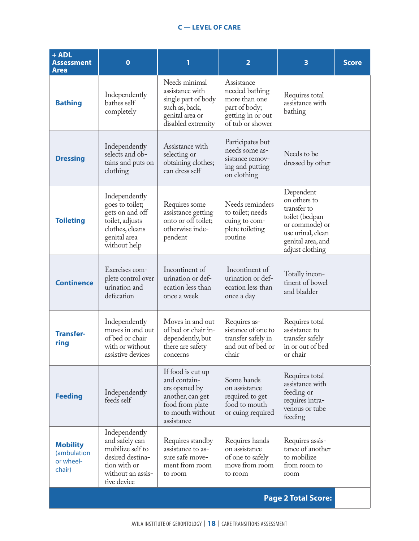| $+$ ADL<br><b>Assessment</b><br><b>Area</b>           | $\bf{0}$                                                                                                                    | 1                                                                                                                           | $\overline{2}$                                                                                          | 3                                                                                                                                         | <b>Score</b> |
|-------------------------------------------------------|-----------------------------------------------------------------------------------------------------------------------------|-----------------------------------------------------------------------------------------------------------------------------|---------------------------------------------------------------------------------------------------------|-------------------------------------------------------------------------------------------------------------------------------------------|--------------|
| <b>Bathing</b>                                        | Independently<br>bathes self<br>completely                                                                                  | Needs minimal<br>assistance with<br>single part of body<br>such as, back,<br>genital area or<br>disabled extremity          | Assistance<br>needed bathing<br>more than one<br>part of body;<br>getting in or out<br>of tub or shower | Requires total<br>assistance with<br>bathing                                                                                              |              |
| <b>Dressing</b>                                       | Independently<br>selects and ob-<br>tains and puts on<br>clothing                                                           | Assistance with<br>selecting or<br>obtaining clothes;<br>can dress self                                                     | Participates but<br>needs some as-<br>sistance remov-<br>ing and putting<br>on clothing                 | Needs to be<br>dressed by other                                                                                                           |              |
| <b>Toileting</b>                                      | Independently<br>goes to toilet;<br>gets on and off<br>toilet, adjusts<br>clothes, cleans<br>genital area<br>without help   | Requires some<br>assistance getting<br>onto or off toilet;<br>otherwise inde-<br>pendent                                    | Needs reminders<br>to toilet; needs<br>cuing to com-<br>plete toileting<br>routine                      | Dependent<br>on others to<br>transfer to<br>toilet (bedpan<br>or commode) or<br>use urinal, clean<br>genital area, and<br>adjust clothing |              |
| <b>Continence</b>                                     | Exercises com-<br>plete control over<br>urination and<br>defecation                                                         | Incontinent of<br>urination or def-<br>ecation less than<br>once a week                                                     | Incontinent of<br>urination or def-<br>ecation less than<br>once a day                                  | Totally incon-<br>tinent of bowel<br>and bladder                                                                                          |              |
| <b>Transfer-</b><br>ring                              | Independently<br>moves in and out<br>of bed or chair<br>with or without<br>assistive devices                                | Moves in and out<br>of bed or chair in-<br>dependently, but<br>there are safety<br>concerns                                 | Requires as-<br>sistance of one to<br>transfer safely in<br>and out of bed or<br>chair                  | Requires total<br>assistance to<br>transfer safely<br>in or out of bed<br>or chair                                                        |              |
| <b>Feeding</b>                                        | Independently<br>feeds self                                                                                                 | If food is cut up<br>and contain-<br>ers opened by<br>another, can get<br>food from plate<br>to mouth without<br>assistance | Some hands<br>on assistance<br>required to get<br>food to mouth<br>or cuing required                    | Requires total<br>assistance with<br>feeding or<br>requires intra-<br>venous or tube<br>feeding                                           |              |
| <b>Mobility</b><br>(ambulation<br>or wheel-<br>chair) | Independently<br>and safely can<br>mobilize self to<br>desired destina-<br>tion with or<br>without an assis-<br>tive device | Requires standby<br>assistance to as-<br>sure safe move-<br>ment from room<br>to room                                       | Requires hands<br>on assistance<br>of one to safely<br>move from room<br>to room                        | Requires assis-<br>tance of another<br>to mobilize<br>from room to<br>room                                                                |              |
|                                                       |                                                                                                                             |                                                                                                                             |                                                                                                         | <b>Page 2 Total Score:</b>                                                                                                                |              |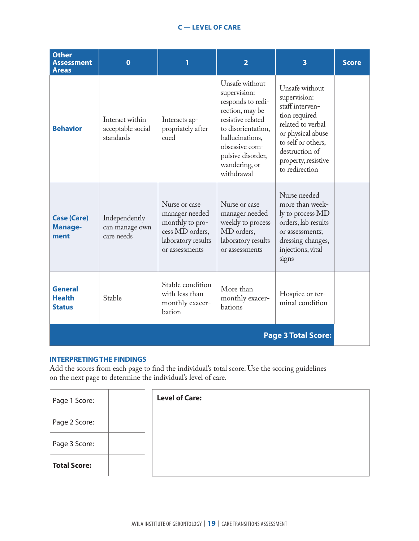| <b>Other</b><br><b>Assessment</b><br><b>Areas</b> | $\mathbf 0$                                       |                                                                                                               | $\overline{2}$                                                                                                                                                                                             | 3                                                                                                                                                                                             | <b>Score</b> |  |  |  |
|---------------------------------------------------|---------------------------------------------------|---------------------------------------------------------------------------------------------------------------|------------------------------------------------------------------------------------------------------------------------------------------------------------------------------------------------------------|-----------------------------------------------------------------------------------------------------------------------------------------------------------------------------------------------|--------------|--|--|--|
| <b>Behavior</b>                                   | Interact within<br>acceptable social<br>standards | Interacts ap-<br>propriately after<br>cued                                                                    | Unsafe without<br>supervision:<br>responds to redi-<br>rection, may be<br>resistive related<br>to disorientation,<br>hallucinations,<br>obsessive com-<br>pulsive disorder,<br>wandering, or<br>withdrawal | Unsafe without<br>supervision:<br>staff interven-<br>tion required<br>related to verbal<br>or physical abuse<br>to self or others,<br>destruction of<br>property, resistive<br>to redirection |              |  |  |  |
| <b>Case (Care)</b><br><b>Manage-</b><br>ment      | Independently<br>can manage own<br>care needs     | Nurse or case<br>manager needed<br>monthly to pro-<br>cess MD orders,<br>laboratory results<br>or assessments | Nurse or case<br>manager needed<br>weekly to process<br>MD orders,<br>laboratory results<br>or assessments                                                                                                 | Nurse needed<br>more than week-<br>ly to process MD<br>orders, lab results<br>or assessments;<br>dressing changes,<br>injections, vital<br>signs                                              |              |  |  |  |
| <b>General</b><br><b>Health</b><br><b>Status</b>  | Stable                                            | Stable condition<br>with less than<br>monthly exacer-<br>bation                                               | More than<br>monthly exacer-<br>bations                                                                                                                                                                    | Hospice or ter-<br>minal condition                                                                                                                                                            |              |  |  |  |
| <b>Page 3 Total Score:</b>                        |                                                   |                                                                                                               |                                                                                                                                                                                                            |                                                                                                                                                                                               |              |  |  |  |

# **INTERPRETING THE FINDINGS**

Add the scores from each page to find the individual's total score. Use the scoring guidelines on the next page to determine the individual's level of care.

| Page 1 Score:       | <b>Level of Care:</b> |
|---------------------|-----------------------|
| Page 2 Score:       |                       |
| Page 3 Score:       |                       |
| <b>Total Score:</b> |                       |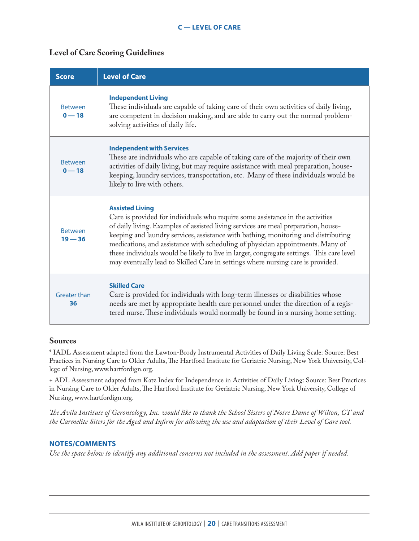# **Level of Care Scoring Guidelines**

| <b>Score</b>                | <b>Level of Care</b>                                                                                                                                                                                                                                                                                                                                                                                                                                                                                                                                   |
|-----------------------------|--------------------------------------------------------------------------------------------------------------------------------------------------------------------------------------------------------------------------------------------------------------------------------------------------------------------------------------------------------------------------------------------------------------------------------------------------------------------------------------------------------------------------------------------------------|
| <b>Between</b><br>$0 - 18$  | <b>Independent Living</b><br>These individuals are capable of taking care of their own activities of daily living,<br>are competent in decision making, and are able to carry out the normal problem-<br>solving activities of daily life.                                                                                                                                                                                                                                                                                                             |
| <b>Between</b><br>$0 - 18$  | <b>Independent with Services</b><br>These are individuals who are capable of taking care of the majority of their own<br>activities of daily living, but may require assistance with meal preparation, house-<br>keeping, laundry services, transportation, etc. Many of these individuals would be<br>likely to live with others.                                                                                                                                                                                                                     |
| <b>Between</b><br>$19 - 36$ | <b>Assisted Living</b><br>Care is provided for individuals who require some assistance in the activities<br>of daily living. Examples of assisted living services are meal preparation, house-<br>keeping and laundry services, assistance with bathing, monitoring and distributing<br>medications, and assistance with scheduling of physician appointments. Many of<br>these individuals would be likely to live in larger, congregate settings. This care level<br>may eventually lead to Skilled Care in settings where nursing care is provided. |
| Greater than<br>36          | <b>Skilled Care</b><br>Care is provided for individuals with long-term illnesses or disabilities whose<br>needs are met by appropriate health care personnel under the direction of a regis-<br>tered nurse. These individuals would normally be found in a nursing home setting.                                                                                                                                                                                                                                                                      |

# **Sources**

\* IADL Assessment adapted from the Lawton-Brody Instrumental Activities of Daily Living Scale: Source: Best Practices in Nursing Care to Older Adults, The Hartford Institute for Geriatric Nursing, New York University, College of Nursing, www.hartfordign.org.

+ ADL Assessment adapted from Katz Index for Independence in Activities of Daily Living: Source: Best Practices in Nursing Care to Older Adults, The Hartford Institute for Geriatric Nursing, New York University, College of Nursing, www.hartfordign.org.

*The Avila Institute of Gerontology, Inc. would like to thank the School Sisters of Notre Dame of Wilton, CT and the Carmelite Siters for the Aged and Infirm for allowing the use and adaptation of their Level of Care tool.* 

# **NOTES/COMMENTS**

*Use the space below to identify any additional concerns not included in the assessment. Add paper if needed.*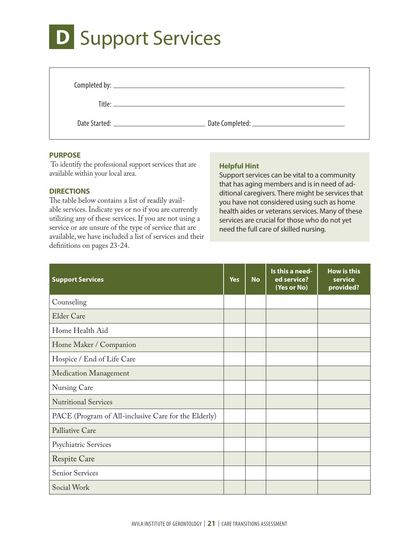# **D** Support Services

| Date Started: 2008 and 2008 and 2008 and 2008 and 2008 and 2008 and 2008 and 2008 and 2008 and 2008 and 2008 a |  |
|----------------------------------------------------------------------------------------------------------------|--|

# **PURPOSE**

 To identify the professional support services that are available within your local area.

# **DIRECTIONS**

The table below contains a list of readily available services. Indicate yes or no if you are currently utilizing any of these services. If you are not using a service or are unsure of the type of service that are available, we have included a list of services and their definitions on pages 23-24.

# **Helpful Hint**

Support services can be vital to a community that has aging members and is in need of additional caregivers. There might be services that you have not considered using such as home health aides or veterans services. Many of these services are crucial for those who do not yet need the full care of skilled nursing.

| <b>Support Services</b>                              | <b>Yes</b> | <b>No</b> | Is this a need-<br>ed service?<br>(Yes or No) | <b>How is this</b><br>service<br>provided? |
|------------------------------------------------------|------------|-----------|-----------------------------------------------|--------------------------------------------|
| Counseling                                           |            |           |                                               |                                            |
| <b>Elder Care</b>                                    |            |           |                                               |                                            |
| Home Health Aid                                      |            |           |                                               |                                            |
| Home Maker / Companion                               |            |           |                                               |                                            |
| Hospice / End of Life Care                           |            |           |                                               |                                            |
| <b>Medication Management</b>                         |            |           |                                               |                                            |
| Nursing Care                                         |            |           |                                               |                                            |
| <b>Nutritional Services</b>                          |            |           |                                               |                                            |
| PACE (Program of All-inclusive Care for the Elderly) |            |           |                                               |                                            |
| Palliative Care                                      |            |           |                                               |                                            |
| Psychiatric Services                                 |            |           |                                               |                                            |
| <b>Respite Care</b>                                  |            |           |                                               |                                            |
| <b>Senior Services</b>                               |            |           |                                               |                                            |
| Social Work                                          |            |           |                                               |                                            |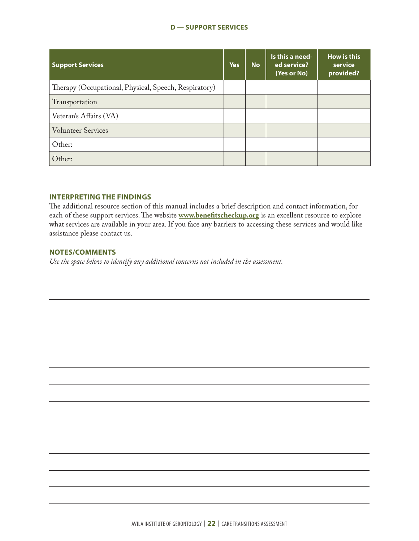# **D — SUPPORT SERVICES**

| <b>Support Services</b>                               | <b>Yes</b> | <b>No</b> | Is this a need-<br>ed service?<br>(Yes or No) | <b>How is this</b><br>service<br>provided? |
|-------------------------------------------------------|------------|-----------|-----------------------------------------------|--------------------------------------------|
| Therapy (Occupational, Physical, Speech, Respiratory) |            |           |                                               |                                            |
| Transportation                                        |            |           |                                               |                                            |
| Veteran's Affairs (VA)                                |            |           |                                               |                                            |
| <b>Volunteer Services</b>                             |            |           |                                               |                                            |
| Other:                                                |            |           |                                               |                                            |
| Other:                                                |            |           |                                               |                                            |

# **INTERPRETING THE FINDINGS**

The additional resource section of this manual includes a brief description and contact information, for each of these support services. The website **www.benefitscheckup.org** is an excellent resource to explore what services are available in your area. If you face any barriers to accessing these services and would like assistance please contact us.

# **NOTES/COMMENTS**

*Use the space below to identify any additional concerns not included in the assessment.*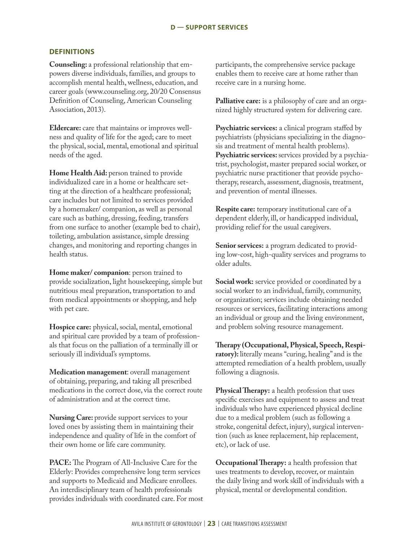## **DEFINITIONS**

**Counseling:** a professional relationship that empowers diverse individuals, families, and groups to accomplish mental health, wellness, education, and career goals (www.counseling.org, 20/20 Consensus Definition of Counseling, American Counseling Association, 2013).

**Eldercare:** care that maintains or improves wellness and quality of life for the aged; care to meet the physical, social, mental, emotional and spiritual needs of the aged.

Home Health Aid: person trained to provide individualized care in a home or healthcare setting at the direction of a healthcare professional; care includes but not limited to services provided by a homemaker/ companion, as well as personal care such as bathing, dressing, feeding, transfers from one surface to another (example bed to chair), toileting, ambulation assistance, simple dressing changes, and monitoring and reporting changes in health status.

**Home maker/ companion**: person trained to provide socialization, light housekeeping, simple but nutritious meal preparation, transportation to and from medical appointments or shopping, and help with pet care.

**Hospice care:** physical, social, mental, emotional and spiritual care provided by a team of professionals that focus on the palliation of a terminally ill or seriously ill individual's symptoms.

**Medication management**: overall management of obtaining, preparing, and taking all prescribed medications in the correct dose, via the correct route of administration and at the correct time.

**Nursing Care:** provide support services to your loved ones by assisting them in maintaining their independence and quality of life in the comfort of their own home or life care community.

**PACE:** The Program of All-Inclusive Care for the Elderly: Provides comprehensive long term services and supports to Medicaid and Medicare enrollees. An interdisciplinary team of health professionals provides individuals with coordinated care. For most participants, the comprehensive service package enables them to receive care at home rather than receive care in a nursing home.

**Palliative care:** is a philosophy of care and an organized highly structured system for delivering care.

**Psychiatric services:** a clinical program staffed by psychiatrists (physicians specializing in the diagnosis and treatment of mental health problems). Psychiatric services: services provided by a psychiatrist, psychologist, master prepared social worker, or psychiatric nurse practitioner that provide psychotherapy, research, assessment, diagnosis, treatment, and prevention of mental illnesses.

**Respite care:** temporary institutional care of a dependent elderly, ill, or handicapped individual, providing relief for the usual caregivers.

**Senior services:** a program dedicated to providing low-cost, high-quality services and programs to older adults.

**Social work:** service provided or coordinated by a social worker to an individual, family, community, or organization; services include obtaining needed resources or services, facilitating interactions among an individual or group and the living environment, and problem solving resource management.

**Therapy (Occupational, Physical, Speech, Respiratory):** literally means "curing, healing" and is the attempted remediation of a health problem, usually following a diagnosis.

**Physical Therapy:** a health profession that uses specific exercises and equipment to assess and treat individuals who have experienced physical decline due to a medical problem (such as following a stroke, congenital defect, injury), surgical intervention (such as knee replacement, hip replacement, etc), or lack of use.

**Occupational Therapy:** a health profession that uses treatments to develop, recover, or maintain the daily living and work skill of individuals with a physical, mental or developmental condition.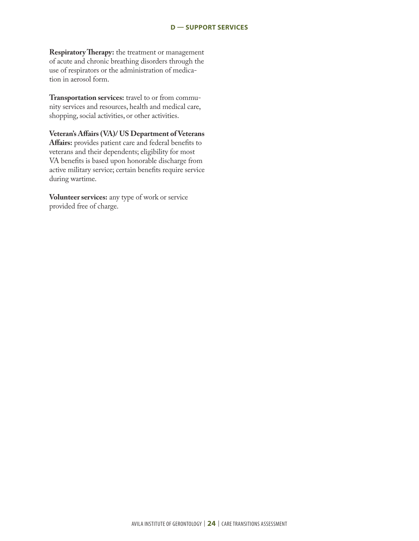**Respiratory Therapy:** the treatment or management of acute and chronic breathing disorders through the use of respirators or the administration of medication in aerosol form.

**Transportation services:** travel to or from community services and resources, health and medical care, shopping, social activities, or other activities.

**Veteran's Affairs (VA)/ US Department of Veterans Affairs:** provides patient care and federal benefits to veterans and their dependents; eligibility for most VA benefits is based upon honorable discharge from active military service; certain benefits require service during wartime.

**Volunteer services:** any type of work or service provided free of charge.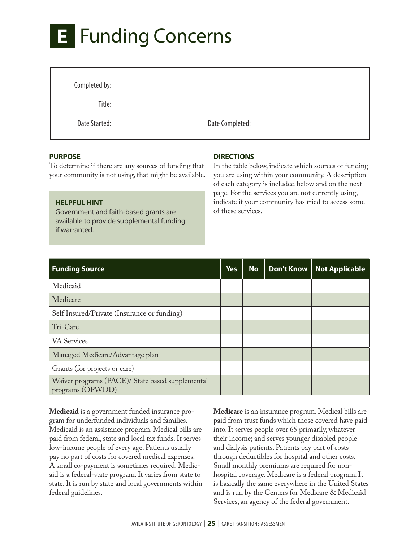# **E** Funding Concerns

| Completed by: |  |
|---------------|--|

Title:

Date Started: Date Completed:

# **PURPOSE**

To determine if there are any sources of funding that your community is not using, that might be available.

# **HELPFUL HINT**

Government and faith-based grants are available to provide supplemental funding if warranted.

# **DIRECTIONS**

In the table below, indicate which sources of funding you are using within your community. A description of each category is included below and on the next page. For the services you are not currently using, indicate if your community has tried to access some of these services.

| <b>Funding Source</b>                                                | <b>Yes</b> | <b>No</b> | Don't Know | <b>Not Applicable</b> |
|----------------------------------------------------------------------|------------|-----------|------------|-----------------------|
| Medicaid                                                             |            |           |            |                       |
| Medicare                                                             |            |           |            |                       |
| Self Insured/Private (Insurance or funding)                          |            |           |            |                       |
| Tri-Care                                                             |            |           |            |                       |
| <b>VA</b> Services                                                   |            |           |            |                       |
| Managed Medicare/Advantage plan                                      |            |           |            |                       |
| Grants (for projects or care)                                        |            |           |            |                       |
| Waiver programs (PACE)/ State based supplemental<br>programs (OPWDD) |            |           |            |                       |

**Medicaid** is a government funded insurance program for underfunded individuals and families. Medicaid is an assistance program. Medical bills are paid from federal, state and local tax funds. It serves low-income people of every age. Patients usually pay no part of costs for covered medical expenses. A small co-payment is sometimes required. Medicaid is a federal-state program. It varies from state to state. It is run by state and local governments within federal guidelines.

**Medicare** is an insurance program. Medical bills are paid from trust funds which those covered have paid into. It serves people over 65 primarily, whatever their income; and serves younger disabled people and dialysis patients. Patients pay part of costs through deductibles for hospital and other costs. Small monthly premiums are required for nonhospital coverage. Medicare is a federal program. It is basically the same everywhere in the United States and is run by the Centers for Medicare & Medicaid Services, an agency of the federal government.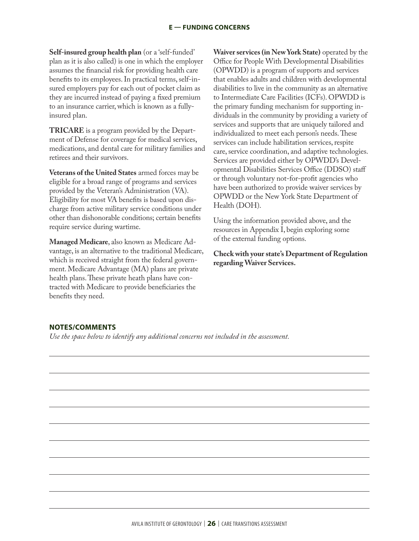**Self-insured group health plan** (or a 'self-funded' plan as it is also called) is one in which the employer assumes the financial risk for providing health care benefits to its employees. In practical terms, self-insured employers pay for each out of pocket claim as they are incurred instead of paying a fixed premium to an insurance carrier, which is known as a fullyinsured plan.

**TRICARE** is a program provided by the Department of Defense for coverage for medical services, medications, and dental care for military families and retirees and their survivors.

**Veterans of the United States** armed forces may be eligible for a broad range of programs and services provided by the Veteran's Administration (VA). Eligibility for most VA benefits is based upon discharge from active military service conditions under other than dishonorable conditions; certain benefits require service during wartime.

**Managed Medicare**, also known as Medicare Advantage, is an alternative to the traditional Medicare, which is received straight from the federal government. Medicare Advantage (MA) plans are private health plans. These private heath plans have contracted with Medicare to provide beneficiaries the benefits they need.

**Waiver services (in New York State)** operated by the Office for People With Developmental Disabilities (OPWDD) is a program of supports and services that enables adults and children with developmental disabilities to live in the community as an alternative to Intermediate Care Facilities (ICFs). OPWDD is the primary funding mechanism for supporting individuals in the community by providing a variety of services and supports that are uniquely tailored and individualized to meet each person's needs. These services can include habilitation services, respite care, service coordination, and adaptive technologies. Services are provided either by OPWDD's Developmental Disabilities Services Office (DDSO) staff or through voluntary not-for-profit agencies who have been authorized to provide waiver services by OPWDD or the New York State Department of Health (DOH).

Using the information provided above, and the resources in Appendix I, begin exploring some of the external funding options.

**Check with your state's Department of Regulation regarding Waiver Services.**

# **NOTES/COMMENTS**

*Use the space below to identify any additional concerns not included in the assessment.*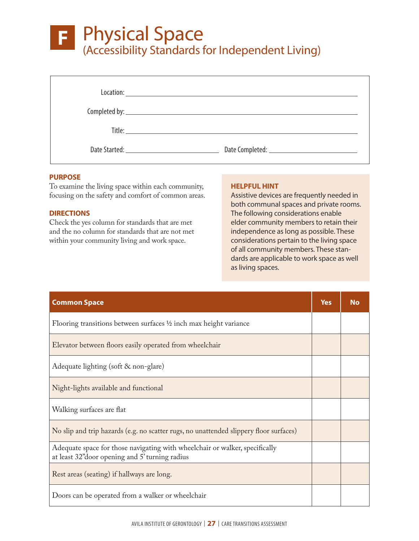# **F — PHYSICAL SPACE F** Physical Space (Accessibility Standards for Independent Living)

| Complete <b>by</b> :                            |
|-------------------------------------------------|
|                                                 |
| Date Started: National Property of the Started: |

# **PURPOSE**

To examine the living space within each community, focusing on the safety and comfort of common areas.

# **DIRECTIONS**

Check the yes column for standards that are met and the no column for standards that are not met within your community living and work space.

# **HELPFUL HINT**

Assistive devices are frequently needed in both communal spaces and private rooms. The following considerations enable elder community members to retain their independence as long as possible. These considerations pertain to the living space of all community members. These standards are applicable to work space as well as living spaces.

| <b>Common Space</b>                                                                                                            | <b>Yes</b> | <b>No</b> |
|--------------------------------------------------------------------------------------------------------------------------------|------------|-----------|
| Flooring transitions between surfaces 1/2 inch max height variance                                                             |            |           |
| Elevator between floors easily operated from wheelchair                                                                        |            |           |
| Adequate lighting (soft & non-glare)                                                                                           |            |           |
| Night-lights available and functional                                                                                          |            |           |
| Walking surfaces are flat                                                                                                      |            |           |
| No slip and trip hazards (e.g. no scatter rugs, no unattended slippery floor surfaces)                                         |            |           |
| Adequate space for those navigating with wheelchair or walker, specifically<br>at least 32" door opening and 5' turning radius |            |           |
| Rest areas (seating) if hallways are long.                                                                                     |            |           |
| Doors can be operated from a walker or wheelchair                                                                              |            |           |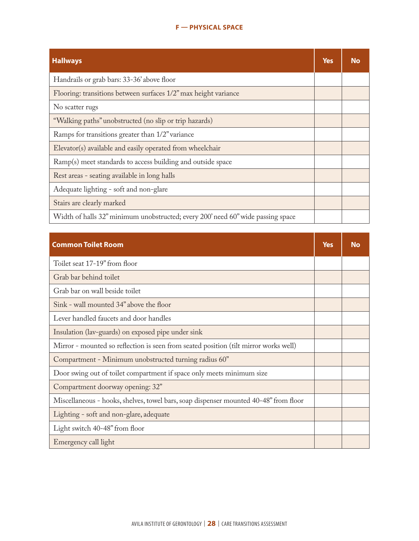# **F — PHYSICAL SPACE**

| <b>Hallways</b>                                                                 | <b>Yes</b> | N٥ |
|---------------------------------------------------------------------------------|------------|----|
| Handrails or grab bars: 33-36' above floor                                      |            |    |
| Flooring: transitions between surfaces 1/2" max height variance                 |            |    |
| No scatter rugs                                                                 |            |    |
| "Walking paths" unobstructed (no slip or trip hazards)                          |            |    |
| Ramps for transitions greater than 1/2" variance                                |            |    |
| Elevator(s) available and easily operated from wheelchair                       |            |    |
| Ramp(s) meet standards to access building and outside space                     |            |    |
| Rest areas - seating available in long halls                                    |            |    |
| Adequate lighting - soft and non-glare                                          |            |    |
| Stairs are clearly marked                                                       |            |    |
| Width of halls 32" minimum unobstructed; every 200' need 60" wide passing space |            |    |

| <b>Common Toilet Room</b>                                                            | Yes | No |
|--------------------------------------------------------------------------------------|-----|----|
| Toilet seat 17-19" from floor                                                        |     |    |
| Grab bar behind toilet                                                               |     |    |
| Grab bar on wall beside toilet                                                       |     |    |
| Sink - wall mounted 34" above the floor                                              |     |    |
| Lever handled faucets and door handles                                               |     |    |
| Insulation (lav-guards) on exposed pipe under sink                                   |     |    |
| Mirror - mounted so reflection is seen from seated position (tilt mirror works well) |     |    |
| Compartment - Minimum unobstructed turning radius 60"                                |     |    |
| Door swing out of toilet compartment if space only meets minimum size                |     |    |
| Compartment doorway opening: 32"                                                     |     |    |
| Miscellaneous - hooks, shelves, towel bars, soap dispenser mounted 40-48" from floor |     |    |
| Lighting - soft and non-glare, adequate                                              |     |    |
| Light switch 40-48" from floor                                                       |     |    |
| Emergency call light                                                                 |     |    |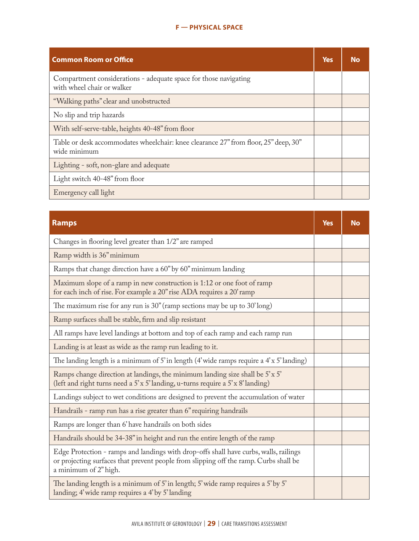# **F — PHYSICAL SPACE**

| <b>Common Room or Office</b>                                                                        | <b>Yes</b> | Nο |
|-----------------------------------------------------------------------------------------------------|------------|----|
| Compartment considerations - adequate space for those navigating<br>with wheel chair or walker      |            |    |
| "Walking paths" clear and unobstructed                                                              |            |    |
| No slip and trip hazards                                                                            |            |    |
| With self-serve-table, heights 40-48" from floor                                                    |            |    |
| Table or desk accommodates wheelchair: knee clearance 27" from floor, 25" deep, 30"<br>wide minimum |            |    |
| Lighting - soft, non-glare and adequate                                                             |            |    |
| Light switch 40-48" from floor                                                                      |            |    |
| Emergency call light                                                                                |            |    |

| <b>Ramps</b>                                                                                                                                                                                            | <b>Yes</b> | <b>No</b> |
|---------------------------------------------------------------------------------------------------------------------------------------------------------------------------------------------------------|------------|-----------|
| Changes in flooring level greater than 1/2" are ramped                                                                                                                                                  |            |           |
| Ramp width is 36" minimum                                                                                                                                                                               |            |           |
| Ramps that change direction have a 60" by 60" minimum landing                                                                                                                                           |            |           |
| Maximum slope of a ramp in new construction is 1:12 or one foot of ramp<br>for each inch of rise. For example a 20" rise ADA requires a 20' ramp                                                        |            |           |
| The maximum rise for any run is $30''$ (ramp sections may be up to $30'$ long)                                                                                                                          |            |           |
| Ramp surfaces shall be stable, firm and slip resistant                                                                                                                                                  |            |           |
| All ramps have level landings at bottom and top of each ramp and each ramp run                                                                                                                          |            |           |
| Landing is at least as wide as the ramp run leading to it.                                                                                                                                              |            |           |
| The landing length is a minimum of 5' in length $(4$ ' wide ramps require a $4$ ' x 5' landing)                                                                                                         |            |           |
| Ramps change direction at landings, the minimum landing size shall be 5'x 5'<br>(left and right turns need a 5'x 5' landing, u-turns require a 5'x 8' landing)                                          |            |           |
| Landings subject to wet conditions are designed to prevent the accumulation of water                                                                                                                    |            |           |
| Handrails - ramp run has a rise greater than 6" requiring handrails                                                                                                                                     |            |           |
| Ramps are longer than 6' have handrails on both sides                                                                                                                                                   |            |           |
| Handrails should be 34-38" in height and run the entire length of the ramp                                                                                                                              |            |           |
| Edge Protection - ramps and landings with drop-offs shall have curbs, walls, railings<br>or projecting surfaces that prevent people from slipping off the ramp. Curbs shall be<br>a minimum of 2" high. |            |           |
| The landing length is a minimum of 5' in length; 5' wide ramp requires a 5' by 5'<br>landing; 4' wide ramp requires a 4' by 5' landing                                                                  |            |           |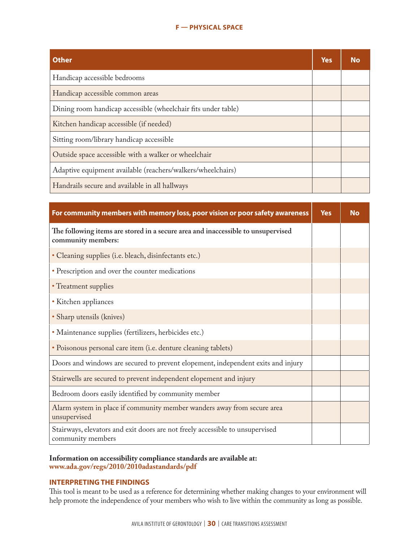# **F — PHYSICAL SPACE**

| <b>Other</b>                                                  | <b>Yes</b> | <b>No</b> |
|---------------------------------------------------------------|------------|-----------|
| Handicap accessible bedrooms                                  |            |           |
| Handicap accessible common areas                              |            |           |
| Dining room handicap accessible (wheelchair fits under table) |            |           |
| Kitchen handicap accessible (if needed)                       |            |           |
| Sitting room/library handicap accessible                      |            |           |
| Outside space accessible with a walker or wheelchair          |            |           |
| Adaptive equipment available (reachers/walkers/wheelchairs)   |            |           |
| Handrails secure and available in all hallways                |            |           |

| For community members with memory loss, poor vision or poor safety awareness                           | <b>Yes</b> | <b>No</b> |
|--------------------------------------------------------------------------------------------------------|------------|-----------|
| The following items are stored in a secure area and inaccessible to unsupervised<br>community members: |            |           |
| • Cleaning supplies (i.e. bleach, disinfectants etc.)                                                  |            |           |
| • Prescription and over the counter medications                                                        |            |           |
| • Treatment supplies                                                                                   |            |           |
| • Kitchen appliances                                                                                   |            |           |
| • Sharp utensils (knives)                                                                              |            |           |
| · Maintenance supplies (fertilizers, herbicides etc.)                                                  |            |           |
| · Poisonous personal care item (i.e. denture cleaning tablets)                                         |            |           |
| Doors and windows are secured to prevent elopement, independent exits and injury                       |            |           |
| Stairwells are secured to prevent independent elopement and injury                                     |            |           |
| Bedroom doors easily identified by community member                                                    |            |           |
| Alarm system in place if community member wanders away from secure area<br>unsupervised                |            |           |
| Stairways, elevators and exit doors are not freely accessible to unsupervised<br>community members     |            |           |

# **Information on accessibility compliance standards are available at: www.ada.gov/regs/2010/2010adastandards/pdf**

# **INTERPRETING THE FINDINGS**

This tool is meant to be used as a reference for determining whether making changes to your environment will help promote the independence of your members who wish to live within the community as long as possible.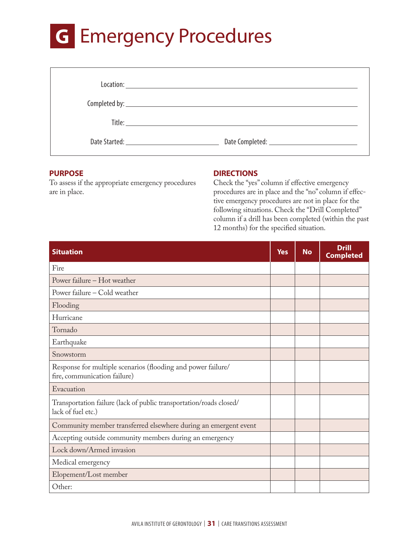# **G** Emergency Procedures

| Date Started: <u>New York: New York: New York: New York: New York: New York: New York: New York: New York: New York: New York: New York: New York: New York: New York: New York: New York: New York: New York: New York: New Yor</u><br>Date Completed: <u>_______________________________</u> |
|------------------------------------------------------------------------------------------------------------------------------------------------------------------------------------------------------------------------------------------------------------------------------------------------|

# **PURPOSE**

To assess if the appropriate emergency procedures are in place.

# **DIRECTIONS**

Check the "yes" column if effective emergency procedures are in place and the "no" column if effective emergency procedures are not in place for the following situations. Check the "Drill Completed" column if a drill has been completed (within the past 12 months) for the specified situation.

| <b>Situation</b>                                                                             | <b>Yes</b> | <b>No</b> | <b>Drill</b><br><b>Completed</b> |
|----------------------------------------------------------------------------------------------|------------|-----------|----------------------------------|
| Fire                                                                                         |            |           |                                  |
| Power failure - Hot weather                                                                  |            |           |                                  |
| Power failure - Cold weather                                                                 |            |           |                                  |
| Flooding                                                                                     |            |           |                                  |
| Hurricane                                                                                    |            |           |                                  |
| Tornado                                                                                      |            |           |                                  |
| Earthquake                                                                                   |            |           |                                  |
| Snowstorm                                                                                    |            |           |                                  |
| Response for multiple scenarios (flooding and power failure/<br>fire, communication failure) |            |           |                                  |
| Evacuation                                                                                   |            |           |                                  |
| Transportation failure (lack of public transportation/roads closed/<br>lack of fuel etc.)    |            |           |                                  |
| Community member transferred elsewhere during an emergent event                              |            |           |                                  |
| Accepting outside community members during an emergency                                      |            |           |                                  |
| Lock down/Armed invasion                                                                     |            |           |                                  |
| Medical emergency                                                                            |            |           |                                  |
| Elopement/Lost member                                                                        |            |           |                                  |
| Other:                                                                                       |            |           |                                  |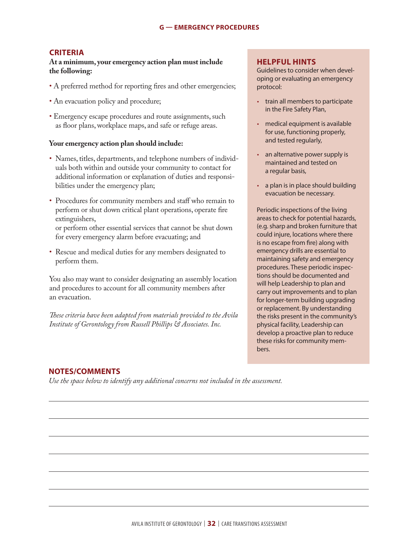# **CRITERIA**

**At a minimum, your emergency action plan must include the following:**

- A preferred method for reporting fires and other emergencies;
- An evacuation policy and procedure;
- Emergency escape procedures and route assignments, such as floor plans, workplace maps, and safe or refuge areas.

### **Your emergency action plan should include:**

- Names, titles, departments, and telephone numbers of individuals both within and outside your community to contact for additional information or explanation of duties and responsibilities under the emergency plan;
- Procedures for community members and staff who remain to perform or shut down critical plant operations, operate fire extinguishers,

or perform other essential services that cannot be shut down for every emergency alarm before evacuating; and

• Rescue and medical duties for any members designated to perform them.

You also may want to consider designating an assembly location and procedures to account for all community members after an evacuation.

*These criteria have been adapted from materials provided to the Avila Institute of Gerontology from Russell Phillips & Associates. Inc.*

# **HELPFUL HINTS**

Guidelines to consider when developing or evaluating an emergency protocol:

- train all members to participate in the Fire Safety Plan,
- medical equipment is available for use, functioning properly, and tested regularly,
- an alternative power supply is maintained and tested on a regular basis,
- a plan is in place should building evacuation be necessary.

Periodic inspections of the living areas to check for potential hazards, (e.g. sharp and broken furniture that could injure, locations where there is no escape from fire) along with emergency drills are essential to maintaining safety and emergency procedures. These periodic inspections should be documented and will help Leadership to plan and carry out improvements and to plan for longer-term building upgrading or replacement. By understanding the risks present in the community's physical facility, Leadership can develop a proactive plan to reduce these risks for community members.

# **NOTES/COMMENTS**

*Use the space below to identify any additional concerns not included in the assessment.*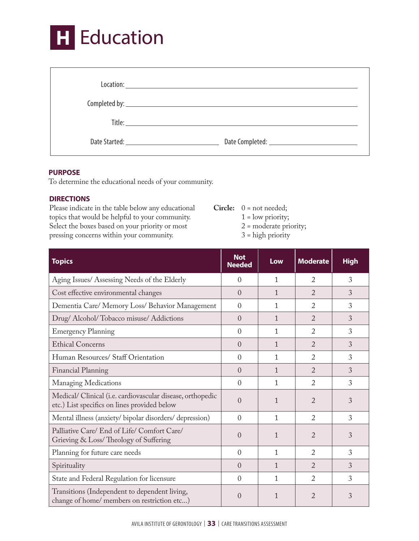

### **PURPOSE**

To determine the educational needs of your community.

# **DIRECTIONS**

Please indicate in the table below any educational topics that would be helpful to your community. Select the boxes based on your priority or most pressing concerns within your community.

- **Circle:** 0 = not needed; 1 = low priority; 2 = moderate priority;
	- 3 = high priority

| <b>Topics</b>                                                                                             | <b>Not</b><br><b>Needed</b> | Low          | <b>Moderate</b> | <b>High</b> |
|-----------------------------------------------------------------------------------------------------------|-----------------------------|--------------|-----------------|-------------|
| Aging Issues/ Assessing Needs of the Elderly                                                              | $\Omega$                    | 1            | $\overline{2}$  | 3           |
| Cost effective environmental changes                                                                      | $\Omega$                    | $\mathbf{1}$ | $\mathfrak{D}$  | 3           |
| Dementia Care/ Memory Loss/ Behavior Management                                                           | $\Omega$                    | 1            | $\overline{2}$  | 3           |
| Drug/Alcohol/Tobacco misuse/Addictions                                                                    | $\Omega$                    | $\mathbf{1}$ | $\mathfrak{D}$  | 3           |
| <b>Emergency Planning</b>                                                                                 | $\theta$                    | 1            | $\overline{2}$  | 3           |
| <b>Ethical Concerns</b>                                                                                   | $\Omega$                    | 1            | $\mathfrak{D}$  | 3           |
| Human Resources/ Staff Orientation                                                                        | $\Omega$                    | 1            | $\mathfrak{D}$  | 3           |
| Financial Planning                                                                                        | $\Omega$                    | $\mathbf{1}$ | $\mathfrak{D}$  | 3           |
| <b>Managing Medications</b>                                                                               | $\Omega$                    | 1            | $\overline{2}$  | 3           |
| Medical/Clinical (i.e. cardiovascular disease, orthopedic<br>etc.) List specifics on lines provided below | $\Omega$                    | $\mathbf{1}$ | $\mathfrak{D}$  | 3           |
| Mental illness (anxiety/bipolar disorders/depression)                                                     | $\theta$                    | 1            | $\overline{2}$  | 3           |
| Palliative Care/ End of Life/ Comfort Care/<br>Grieving & Loss/Theology of Suffering                      | $\Omega$                    | $\mathbf{1}$ | $\overline{2}$  | 3           |
| Planning for future care needs                                                                            | $\Omega$                    | 1            | $\mathfrak{D}$  | 3           |
| Spirituality                                                                                              | $\Omega$                    | $\mathbf{1}$ | $\overline{2}$  | 3           |
| State and Federal Regulation for licensure                                                                | $\Omega$                    | 1            | $\overline{2}$  | 3           |
| Transitions (Independent to dependent living,<br>change of home/ members on restriction etc)              | $\overline{0}$              | 1            | $\overline{2}$  | 3           |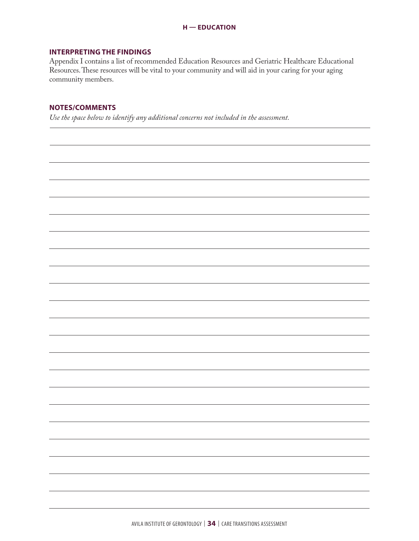# **INTERPRETING THE FINDINGS**

Appendix I contains a list of recommended Education Resources and Geriatric Healthcare Educational Resources. These resources will be vital to your community and will aid in your caring for your aging community members.

# **NOTES/COMMENTS**

*Use the space below to identify any additional concerns not included in the assessment.*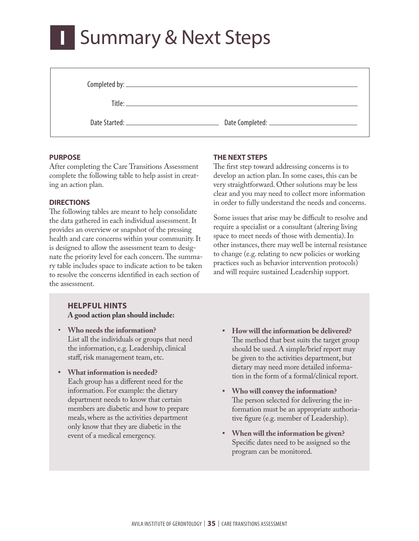# **I — SUMMARY & NEXT STEPS I** Summary & Next Steps

| Completed by: |  |
|---------------|--|
|               |  |

Title:

Date Started: Date Completed:

# **PURPOSE**

After completing the Care Transitions Assessment complete the following table to help assist in creating an action plan.

# **DIRECTIONS**

The following tables are meant to help consolidate the data gathered in each individual assessment. It provides an overview or snapshot of the pressing health and care concerns within your community. It is designed to allow the assessment team to designate the priority level for each concern. The summary table includes space to indicate action to be taken to resolve the concerns identified in each section of the assessment.

# **HELPFUL HINTS A good action plan should include:**

- **Who needs the information?** List all the individuals or groups that need the information, e.g. Leadership, clinical staff, risk management team, etc.
- **• What information is needed?** Each group has a different need for the information. For example: the dietary department needs to know that certain members are diabetic and how to prepare meals, where as the activities department only know that they are diabetic in the event of a medical emergency.

**THE NEXT STEPS**

The first step toward addressing concerns is to develop an action plan. In some cases, this can be very straightforward. Other solutions may be less clear and you may need to collect more information in order to fully understand the needs and concerns.

Some issues that arise may be difficult to resolve and require a specialist or a consultant (altering living space to meet needs of those with dementia). In other instances, there may well be internal resistance to change (e.g. relating to new policies or working practices such as behavior intervention protocols) and will require sustained Leadership support.

- **• How will the information be delivered?** The method that best suits the target group should be used. A simple/brief report may be given to the activities department, but dietary may need more detailed information in the form of a formal/clinical report.
- **• Who will convey the information?** The person selected for delivering the information must be an appropriate authoriative figure (e.g. member of Leadership).
- **• When will the information be given?** Specific dates need to be assigned so the program can be monitored.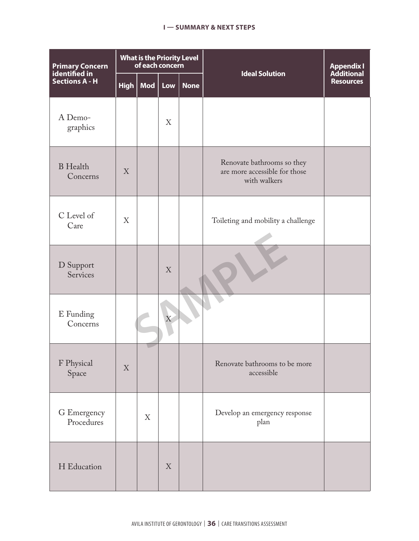## **I — SUMMARY & NEXT STEPS**

| <b>Primary Concern</b><br>identified in |             | <b>What is the Priority Level</b><br>of each concern |                |             | <b>Ideal Solution</b>                                                       | <b>Appendix I</b><br><b>Additional</b> |  |
|-----------------------------------------|-------------|------------------------------------------------------|----------------|-------------|-----------------------------------------------------------------------------|----------------------------------------|--|
| <b>Sections A - H</b>                   | <b>High</b> | Mod                                                  | Low            | <b>None</b> |                                                                             | <b>Resources</b>                       |  |
| A Demo-<br>graphics                     |             |                                                      | X              |             |                                                                             |                                        |  |
| <b>B</b> Health<br>Concerns             | X           |                                                      |                |             | Renovate bathrooms so they<br>are more accessible for those<br>with walkers |                                        |  |
| C Level of<br>Care                      | X           |                                                      |                |             | Toileting and mobility a challenge                                          |                                        |  |
| D Support<br>Services                   |             |                                                      | X              |             |                                                                             |                                        |  |
| E Funding<br>Concerns                   |             |                                                      | $\overline{X}$ |             |                                                                             |                                        |  |
| F Physical<br>Space                     | X           |                                                      |                |             | Renovate bathrooms to be more<br>accessible                                 |                                        |  |
| G Emergency<br>Procedures               |             | X                                                    |                |             | Develop an emergency response<br>plan                                       |                                        |  |
| H Education                             |             |                                                      | X              |             |                                                                             |                                        |  |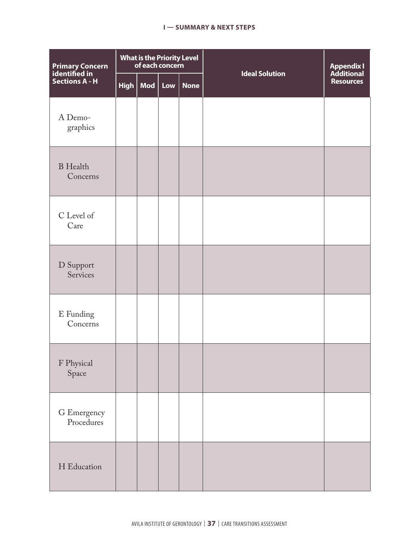### **I — SUMMARY & NEXT STEPS**

| Primary Concern<br>identified in<br>Sections A - H | What is the Priority Level<br>of each concern |     |         |             | <b>Ideal Solution</b> | <b>Appendix I</b><br><b>Additional</b> |
|----------------------------------------------------|-----------------------------------------------|-----|---------|-------------|-----------------------|----------------------------------------|
|                                                    | High                                          | Mod | $ $ Low | <b>None</b> |                       | <b>Resources</b>                       |
| A Demo-<br>graphics                                |                                               |     |         |             |                       |                                        |
| <b>B</b> Health<br>Concerns                        |                                               |     |         |             |                       |                                        |
| C Level of<br>Care                                 |                                               |     |         |             |                       |                                        |
| D Support<br>Services                              |                                               |     |         |             |                       |                                        |
| ${\bf E}$ Funding<br>Concerns                      |                                               |     |         |             |                       |                                        |
| F Physical<br>Space                                |                                               |     |         |             |                       |                                        |
| G Emergency<br>Procedures                          |                                               |     |         |             |                       |                                        |
| H Education                                        |                                               |     |         |             |                       |                                        |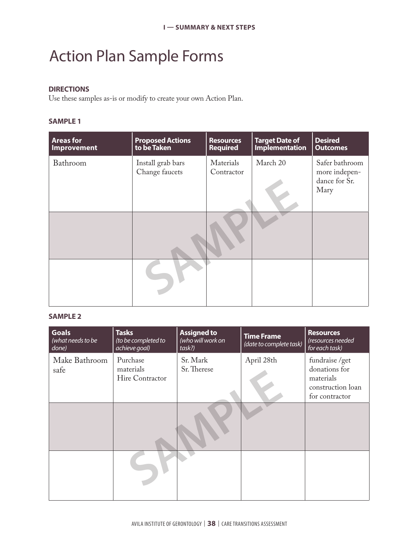# Action Plan Sample Forms

# **DIRECTIONS**

Use these samples as-is or modify to create your own Action Plan.

# **SAMPLE 1**

| <b>Areas for</b><br>Improvement | <b>Proposed Actions</b><br>to be Taken | <b>Resources</b><br><b>Required</b> | <b>Target Date of</b><br><b>Implementation</b> | <b>Desired</b><br><b>Outcomes</b>                        |
|---------------------------------|----------------------------------------|-------------------------------------|------------------------------------------------|----------------------------------------------------------|
| Bathroom                        | Install grab bars<br>Change faucets    | Materials<br>Contractor             | March 20                                       | Safer bathroom<br>more indepen-<br>dance for Sr.<br>Mary |
|                                 |                                        |                                     |                                                |                                                          |
|                                 |                                        |                                     |                                                |                                                          |

# **SAMPLE 2**

| <b>Goals</b><br>(what needs to be<br>done) | <b>Tasks</b><br>(to be completed to<br>achieve goal) | <b>Assigned to</b><br>(who will work on<br>task?) | <b>Time Frame</b><br>(date to complete task) | <b>Resources</b><br>(resources needed<br>for each task)                             |
|--------------------------------------------|------------------------------------------------------|---------------------------------------------------|----------------------------------------------|-------------------------------------------------------------------------------------|
| Make Bathroom<br>safe                      | Purchase<br>materials<br>Hire Contractor             | Sr. Mark<br>Sr. Therese                           | April 28th                                   | fundraise /get<br>donations for<br>materials<br>construction loan<br>for contractor |
|                                            |                                                      |                                                   |                                              |                                                                                     |
|                                            |                                                      |                                                   |                                              |                                                                                     |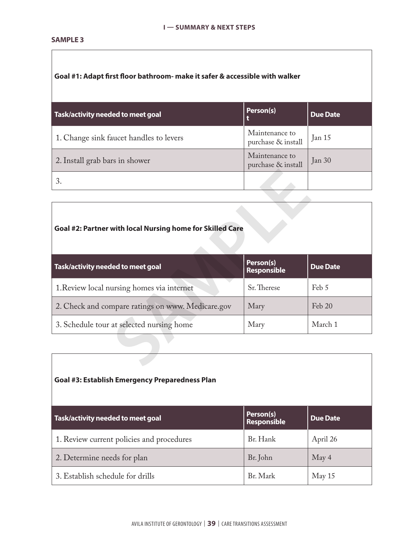## **SAMPLE 3**

# **Goal #1: Adapt first floor bathroom- make it safer & accessible with walker**

| Task/activity needed to meet goal       | Person(s)                            | <b>Due Date</b> |
|-----------------------------------------|--------------------------------------|-----------------|
| 1. Change sink faucet handles to levers | Maintenance to<br>purchase & install | Jan 15          |
| 2. Install grab bars in shower          | Maintenance to<br>purchase & install | Jan 30          |
|                                         |                                      |                 |

# **Goal #2: Partner with local Nursing home for Skilled Care**

| 3.                                                        | $\mathbf{r}$                    |                 |
|-----------------------------------------------------------|---------------------------------|-----------------|
|                                                           |                                 |                 |
| Goal #2: Partner with local Nursing home for Skilled Care |                                 |                 |
| Task/activity needed to meet goal                         | Person(s)<br><b>Responsible</b> | <b>Due Date</b> |
| 1. Review local nursing homes via internet                | Sr. Therese                     | Feb 5           |
| 2. Check and compare ratings on www. Medicare.gov         | Mary                            | Feb 20          |
| 3. Schedule tour at selected nursing home                 | Mary                            | March 1         |
|                                                           |                                 |                 |
|                                                           |                                 |                 |

# **Goal #3: Establish Emergency Preparedness Plan**

| Task/activity needed to meet goal         | Person(s)<br>Responsible | <b>Due Date</b> |
|-------------------------------------------|--------------------------|-----------------|
| 1. Review current policies and procedures | Br. Hank                 | April 26        |
| 2. Determine needs for plan               | Br. John                 | May 4           |
| 3. Establish schedule for drills          | Br. Mark                 | May 15          |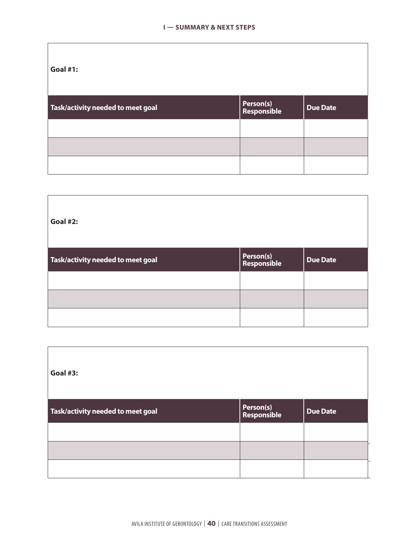| Task/activity needed to meet goal | Person(s)<br>Responsible | <b>Due Date</b> |
|-----------------------------------|--------------------------|-----------------|
|                                   |                          |                 |
|                                   |                          |                 |
|                                   |                          |                 |

| <b>Goal #2:</b>                   |                          |                 |
|-----------------------------------|--------------------------|-----------------|
| Task/activity needed to meet goal | Person(s)<br>Responsible | <b>Due Date</b> |
|                                   |                          |                 |
|                                   |                          |                 |
|                                   |                          |                 |

| Goal #3:                          |                          |                 |
|-----------------------------------|--------------------------|-----------------|
| Task/activity needed to meet goal | Person(s)<br>Responsible | <b>Due Date</b> |
|                                   |                          |                 |
|                                   |                          |                 |
|                                   |                          |                 |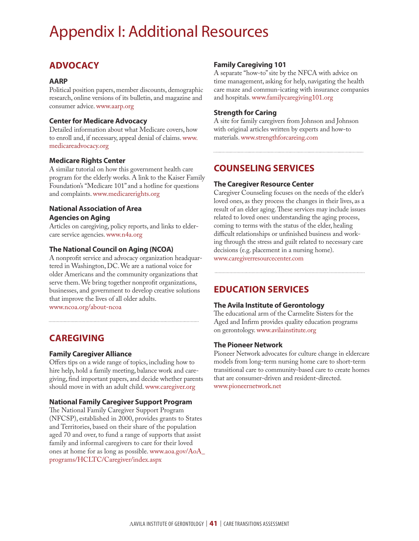# Appendix I: Additional Resources

# **ADVOCACY**

### **AARP**

Political position papers, member discounts, demographic research, online versions of its bulletin, and magazine and consumer advice. www.aarp.org

# **Center for Medicare Advocacy**

Detailed information about what Medicare covers, how to enroll and, if necessary, appeal denial of claims. www. medicareadvocacy.org

# **Medicare Rights Center**

A similar tutorial on how this government health care program for the elderly works. A link to the Kaiser Family Foundation's "Medicare 101" and a hotline for questions and complaints. www.medicarerights.org

# **National Association of Area Agencies on Aging**

Articles on caregiving, policy reports, and links to eldercare service agencies.www.n4a.org

# **The National Council on Aging (NCOA)**

A nonprofit service and advocacy organization headquartered in Washington, DC. We are a national voice for older Americans and the community organizations that serve them. We bring together nonprofit organizations, businesses, and government to develop creative solutions that improve the lives of all older adults. www.ncoa.org/about-ncoa

# **CAREGIVING**

# **Family Caregiver Alliance**

Offers tips on a wide range of topics, including how to hire help, hold a family meeting, balance work and caregiving, find important papers, and decide whether parents should move in with an adult child. www.caregiver.org

# **National Family Caregiver Support Program**

The National Family Caregiver Support Program (NFCSP), established in 2000, provides grants to States and Territories, based on their share of the population aged 70 and over, to fund a range of supports that assist family and informal caregivers to care for their loved ones at home for as long as possible. www.aoa.gov/AoA\_ programs/HCLTC/Caregiver/index.aspx

# **Family Caregiving 101**

A separate "how-to" site by the NFCA with advice on time management, asking for help, navigating the health care maze and commun-icating with insurance companies and hospitals. www.familycaregiving101.org

# **Strength for Caring**

A site for family caregivers from Johnson and Johnson with original articles written by experts and how-to materials. www.strengthforcareing.com

# **COUNSELING SERVICES**

# **The Caregiver Resource Center**

Caregiver Counseling focuses on the needs of the elder's loved ones, as they process the changes in their lives, as a result of an elder aging. These services may include issues related to loved ones: understanding the aging process, coming to terms with the status of the elder, healing difficult relationships or unfinished business and working through the stress and guilt related to necessary care decisions (e.g. placement in a nursing home).

www.caregiverresourcecenter.com

# **EDUCATION SERVICES**

# **The Avila Institute of Gerontology**

The educational arm of the Carmelite Sisters for the Aged and Infirm provides quality education programs on gerontology. www.avilainstitute.org

# **The Pioneer Network**

Pioneer Network advocates for culture change in eldercare models from long-term nursing home care to short-term transitional care to community-based care to create homes that are consumer-driven and resident-directed. www.pioneernetwork.net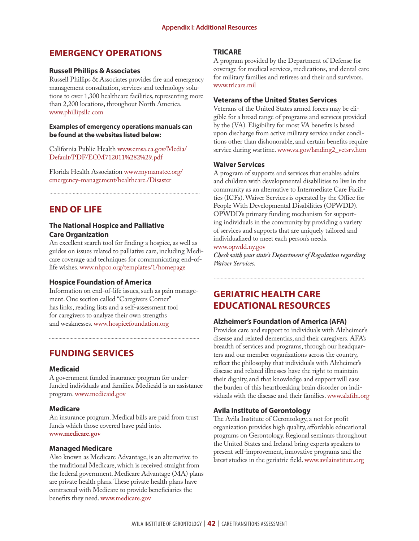# **EMERGENCY OPERATIONS**

## **Russell Phillips & Associates**

Russell Phillips & Associates provides fire and emergency management consultation, services and technology solutions to over 1,300 healthcare facilities, representing more than 2,200 locations, throughout North America. www.phillipsllc.com

### **Examples of emergency operations manuals can be found at the websites listed below:**

California Public Health www.emsa.ca.gov/Media/ Default/PDF/EOM712011%282%29.pdf

Florida Health Association www.mymanatee.org/ emergency-management/healthcare./Disaster

# **END OF LIFE**

# **The National Hospice and Palliative Care Organization**

An excellent search tool for finding a hospice, as well as guides on issues related to palliative care, including Medicare coverage and techniques for communicating end-oflife wishes. www.nhpco.org/templates/1/homepage

# **Hospice Foundation of America**

Information on end-of-life issues, such as pain management. One section called "Caregivers Corner" has links, reading lists and a self-assessment tool for caregivers to analyze their own strengths and weaknesses. www.hospicefoundation.org

# **FUNDING SERVICES**

### **Medicaid**

A government funded insurance program for underfunded individuals and families. Medicaid is an assistance program.www.medicaid.gov

### **Medicare**

An insurance program. Medical bills are paid from trust funds which those covered have paid into. **www.medicare.gov**

### **Managed Medicare**

Also known as Medicare Advantage, is an alternative to the traditional Medicare, which is received straight from the federal government. Medicare Advantage (MA) plans are private health plans. These private health plans have contracted with Medicare to provide beneficiaries the benefits they need. www.medicare.gov

# **TRICARE**

A program provided by the Department of Defense for coverage for medical services, medications, and dental care for military families and retirees and their and survivors. www.tricare.mil

## **Veterans of the United States Services**

Veterans of the United States armed forces may be eligible for a broad range of programs and services provided by the (VA). Eligibility for most VA benefits is based upon discharge from active military service under conditions other than dishonorable, and certain benefits require service during wartime. www.va.gov/landing2\_vetsrv.htm

# **Waiver Services**

A program of supports and services that enables adults and children with developmental disabilities to live in the community as an alternative to Intermediate Care Facilities (ICFs). Waiver Services is operated by the Office for People With Developmental Disabilities (OPWDD). OPWDD's primary funding mechanism for supporting individuals in the community by providing a variety of services and supports that are uniquely tailored and individualized to meet each person's needs.

### www.opwdd.ny.gov

*Check with your state's Department of Regulation regarding Waiver Services.* 

# **GERIATRIC HEALTH CARE EDUCATIONAL RESOURCES**

# **Alzheimer's Foundation of America (AFA)**

Provides care and support to individuals with Alzheimer's disease and related dementias, and their caregivers. AFA's breadth of services and programs, through our headquarters and our member organizations across the country, reflect the philosophy that individuals with Alzheimer's disease and related illnesses have the right to maintain their dignity, and that knowledge and support will ease the burden of this heartbreaking brain disorder on individuals with the disease and their families. www.alzfdn.org

# **Avila Institute of Gerontology**

The Avila Institute of Gerontology, a not for profit organization provides high quality, affordable educational programs on Gerontology. Regional seminars throughout the United States and Ireland bring experts speakers to present self-improvement, innovative programs and the latest studies in the geriatric field. www.avilainstitute.org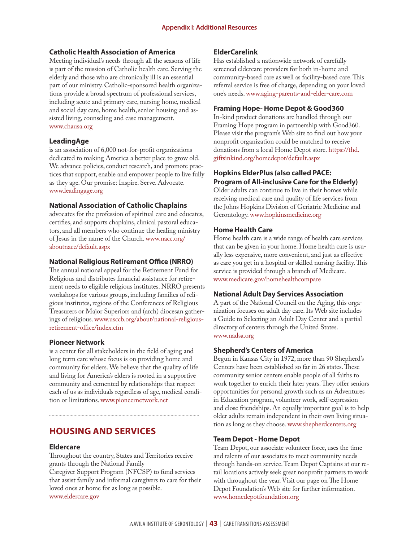### **Catholic Health Association of America**

Meeting individual's needs through all the seasons of life is part of the mission of Catholic health care. Serving the elderly and those who are chronically ill is an essential part of our ministry. Catholic-sponsored health organizations provide a broad spectrum of professional services, including acute and primary care, nursing home, medical and social day care, home health, senior housing and assisted living, counseling and case management. www.chausa.org

### **LeadingAge**

is an association of 6,000 not-for-profit organizations dedicated to making America a better place to grow old. We advance policies, conduct research, and promote practices that support, enable and empower people to live fully as they age. Our promise: Inspire. Serve. Advocate. www.leadingage.org

### **National Association of Catholic Chaplains**

advocates for the profession of spiritual care and educates, certifies, and supports chaplains, clinical pastoral educators, and all members who continue the healing ministry of Jesus in the name of the Church. www.nacc.org/ aboutnacc/default.aspx

### **National Religious Retirement Office (NRRO)**

The annual national appeal for the Retirement Fund for Religious and distributes financial assistance for retirement needs to eligible religious institutes. NRRO presents workshops for various groups, including families of religious institutes, regions of the Conferences of Religious Treasurers or Major Superiors and (arch) diocesan gatherings of religious. www.usccb.org/about/national-religiousretirement-office/index.cfm

### **Pioneer Network**

is a center for all stakeholders in the field of aging and long term care whose focus is on providing home and community for elders. We believe that the quality of life and living for America's elders is rooted in a supportive community and cemented by relationships that respect each of us as individuals regardless of age, medical condition or limitations. www.pioneernetwork.net

# **HOUSING AND SERVICES**

### **Eldercare**

Throughout the country, States and Territories receive grants through the National Family Caregiver Support Program (NFCSP) to fund services that assist family and informal caregivers to care for their loved ones at home for as long as possible.

www.eldercare.gov

# **ElderCarelink**

Has established a nationwide network of carefully screened eldercare providers for both in-home and community-based care as well as facility-based care. This referral service is free of charge, depending on your loved one's needs. www.aging-parents-and-elder-care.com

### **Framing Hope- Home Depot & Good360**

In-kind product donations are handled through our Framing Hope program in partnership with Good360. Please visit the program's Web site to find out how your nonprofit organization could be matched to receive donations from a local Home Depot store. https://thd. giftsinkind.org/homedepot/default.aspx

# **Hopkins ElderPlus (also called PACE: Program of All-inclusive Care for the Elderly)**

Older adults can continue to live in their homes while receiving medical care and quality of life services from the Johns Hopkins Division of Geriatric Medicine and Gerontology. www.hopkinsmedicine.org

### **Home Health Care**

Home health care is a wide range of health care services that can be given in your home. Home health care is usually less expensive, more convenient, and just as effective as care you get in a hospital or skilled nursing facility. This service is provided through a branch of Medicare. www.medicare.gov/homehealthcompare

### **National Adult Day Services Association**

A part of the National Council on the Aging, this organization focuses on adult day care. Its Web site includes a Guide to Selecting an Adult Day Center and a partial directory of centers through the United States. www.nadsa.org

### **Shepherd's Centers of America**

Begun in Kansas City in 1972, more than 90 Shepherd's Centers have been established so far in 26 states. These community senior centers enable people of all faiths to work together to enrich their later years. They offer seniors opportunities for personal growth such as an Adventures in Education program, volunteer work, self-expression and close friendships. An equally important goal is to help older adults remain independent in their own living situation as long as they choose. www.shepherdcenters.org

### **Team Depot - Home Depot**

Team Depot, our associate volunteer force, uses the time and talents of our associates to meet community needs through hands-on service. Team Depot Captains at our retail locations actively seek great nonprofit partners to work with throughout the year. Visit our page on The Home Depot Foundation's Web site for further information. www.homedepotfoundation.org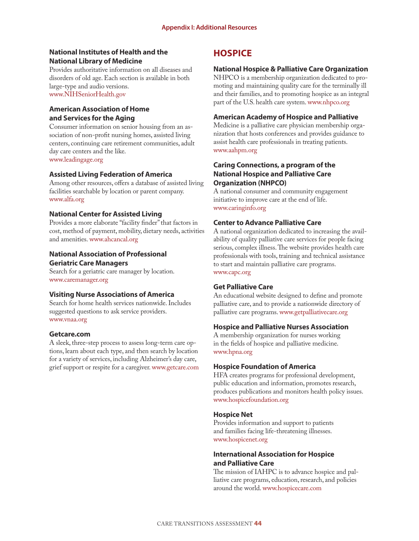# **National Institutes of Health and the National Library of Medicine**

Provides authoritative information on all diseases and disorders of old age. Each section is available in both large-type and audio versions. www.NIHSeniorHealth.gov

# **American Association of Home and Services for the Aging**

Consumer information on senior housing from an association of non-profit nursing homes, assisted living centers, continuing care retirement communities, adult day care centers and the like. www.leadingage.org

# **Assisted Living Federation of America**

Among other resources, offers a database of assisted living facilities searchable by location or parent company. www.alfa.org

# **National Center for Assisted Living**

Provides a more elaborate "facility finder" that factors in cost, method of payment, mobility, dietary needs, activities and amenities. www.ahcancal.org

# **National Association of Professional Geriatric Care Managers**

Search for a geriatric care manager by location. www.caremanager.org

# **Visiting Nurse Associations of America**

Search for home health services nationwide. Includes suggested questions to ask service providers. www.vnaa.org

### **Getcare.com**

A sleek, three-step process to assess long-term care options, learn about each type, and then search by location for a variety of services, including Alzheimer's day care, grief support or respite for a caregiver. www.getcare.com

# **HOSPICE**

# **National Hospice & Palliative Care Organization**

NHPCO is a membership organization dedicated to promoting and maintaining quality care for the terminally ill and their families, and to promoting hospice as an integral part of the U.S. health care system. www.nhpco.org

# **American Academy of Hospice and Palliative**

Medicine is a palliative care physician membership organization that hosts conferences and provides guidance to assist health care professionals in treating patients. www.aahpm.org

# **Caring Connections, a program of the National Hospice and Palliative Care Organization (NHPCO)**

A national consumer and community engagement initiative to improve care at the end of life. www.caringinfo.org

# **Center to Advance Palliative Care**

A national organization dedicated to increasing the availability of quality palliative care services for people facing serious, complex illness. The website provides health care professionals with tools, training and technical assistance to start and maintain palliative care programs. www.capc.org

### **Get Palliative Care**

An educational website designed to define and promote palliative care, and to provide a nationwide directory of palliative care programs. www.getpalliativecare.org

### **Hospice and Palliative Nurses Association**

A membership organization for nurses working in the fields of hospice and palliative medicine. www.hpna.org

# **Hospice Foundation of America**

HFA creates programs for professional development, public education and information, promotes research, produces publications and monitors health policy issues. www.hospicefoundation.org

# **Hospice Net**

Provides information and support to patients and families facing life-threatening illnesses. www.hospicenet.org

# **International Association for Hospice and Palliative Care**

The mission of IAHPC is to advance hospice and palliative care programs, education, research, and policies around the world. www.hospicecare.com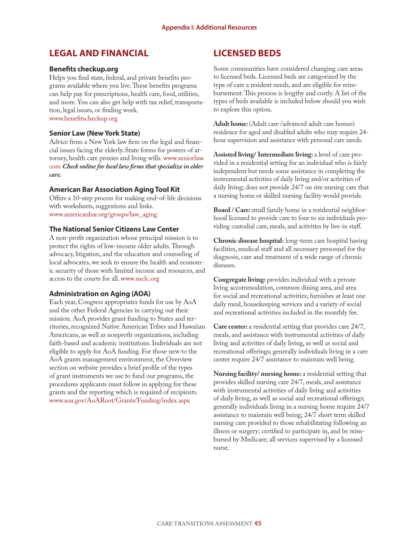# **LEGAL AND FINANCIAL**

## **Benefits checkup.org**

Helps you find state, federal, and private benefits programs available where you live. These benefits programs can help pay for prescriptions, health care, food, utilities, and more. You can also get help with tax relief, transportation, legal issues, or finding work. www.benefitscheckup.org

## **Senior Law (New York State)**

Advice from a New York law firm on the legal and financial issues facing the elderly. State forms for powers of attorney, health care proxies and living wills. www.seniorlaw. com *Check online for local law firms that specialize in elder care.*

# **American Bar Association Aging Tool Kit**

Offers a 10-step process for making end-of-life decisions with worksheets, suggestions and links. www.americanbar.org/groups/law\_aging

# **The National Senior Citizens Law Center**

A non-profit organization whose principal mission is to protect the rights of low-income older adults. Through advocacy, litigation, and the education and counseling of local advocates, we seek to ensure the health and economic security of those with limited income and resources, and access to the courts for all. www.nsclc.org

# **Administration on Aging (AOA)**

Each year, Congress appropriates funds for use by AoA and the other Federal Agencies in carrying out their mission. AoA provides grant funding to States and territories, recognized Native American Tribes and Hawaiian Americans, as well as nonprofit organizations, including faith-based and academic institutions. Individuals are not eligible to apply for AoA funding. For those new to the AoA grants management environment, the Overview section on website provides a brief profile of the types of grant instruments we use to fund our programs, the procedures applicants must follow in applying for these grants and the reporting which is required of recipients. www.aoa.gov/AoARoot/Grants/Funding/index.aspx

# **LICENSED BEDS**

Some communities have considered changing care areas to licensed beds. Licensed beds are categorized by the type of care a resident needs, and are eligible for reimbursement. This process is lengthy and costly. A list of the types of beds available is included below should you wish to explore this option.

Adult home: (Adult care /advanced adult care homes) residence for aged and disabled adults who may require 24 hour supervision and assistance with personal care needs.

**Assisted living/ Intermediate living:** a level of care provided in a residential setting for an individual who is fairly independent but needs some assistance in completing the instrumental activities of daily living and/or activities of daily living; does not provide 24/7 on site nursing care that a nursing home or skilled nursing facility would provide.

**Board / Care:** small family home in a residential neighborhood licensed to provide care to four to six individuals providing custodial care, meals, and activities by live-in staff.

**Chronic disease hospital:** long-term care hospital having facilities, medical staff and all necessary personnel for the diagnosis, care and treatment of a wide range of chronic diseases.

**Congregate living:** provides individual with a private living accommodation, common dining area, and area for social and recreational activities; furnishes at least one daily meal, housekeeping services and a variety of social and recreational activities included in the monthly fee.

**Care center:** a residential setting that provides care 24/7, meals, and assistance with instrumental activities of daily living and activities of daily living, as well as social and recreational offerings; generally individuals living in a care center require 24/7 assistance to maintain well being.

**Nursing facility/ nursing home:** a residential setting that provides skilled nursing care 24/7, meals, and assistance with instrumental activities of daily living and activities of daily living, as well as social and recreational offerings; generally individuals living in a nursing home require 24/7 assistance to maintain well being; 24/7 short term skilled nursing care provided to those rehabilitating following an illness or surgery; certified to participate in, and be reimbursed by Medicare; all services supervised by a licensed nurse.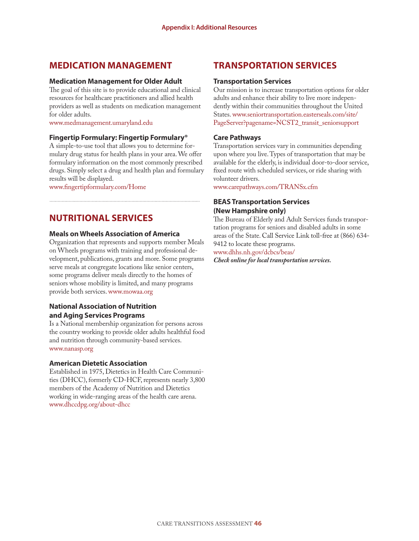# **MEDICATION MANAGEMENT**

### **Medication Management for Older Adult**

The goal of this site is to provide educational and clinical resources for healthcare practitioners and allied health providers as well as students on medication management for older adults.

www.medmanagement.umaryland.edu

### **Fingertip Formulary: Fingertip Formulary®**

A simple-to-use tool that allows you to determine formulary drug status for health plans in your area. We offer formulary information on the most commonly prescribed drugs. Simply select a drug and health plan and formulary results will be displayed.

www.fingertipformulary.com/Home

# **NUTRITIONAL SERVICES**

## **Meals on Wheels Association of America**

Organization that represents and supports member Meals on Wheels programs with training and professional development, publications, grants and more. Some programs serve meals at congregate locations like senior centers, some programs deliver meals directly to the homes of seniors whose mobility is limited, and many programs provide both services.www.mowaa.org

# **National Association of Nutrition and Aging Services Programs**

Is a National membership organization for persons across the country working to provide older adults healthful food and nutrition through community-based services. www.nanasp.org

### **American Dietetic Association**

Established in 1975, Dietetics in Health Care Communities (DHCC), formerly CD-HCF, represents nearly 3,800 members of the Academy of Nutrition and Dietetics working in wide-ranging areas of the health care arena. www.dhccdpg.org/about-dhcc

# **TRANSPORTATION SERVICES**

### **Transportation Services**

Our mission is to increase transportation options for older adults and enhance their ability to live more independently within their communities throughout the United States.www.seniortransportation.easterseals.com/site/ PageServer?pagename=NCST2\_transit\_seniorsupport

# **Care Pathways**

Transportation services vary in communities depending upon where you live. Types of transportation that may be available for the elderly, is individual door-to-door service, fixed route with scheduled services, or ride sharing with volunteer drivers.

www.carepathways.com/TRANSx.cfm

# **BEAS Transportation Services (New Hampshire only)**

The Bureau of Elderly and Adult Services funds transportation programs for seniors and disabled adults in some areas of the State. Call Service Link toll-free at (866) 634- 9412 to locate these programs.

www.dhhs.nh.gov/dcbcs/beas/

*Check online for local transportation services.*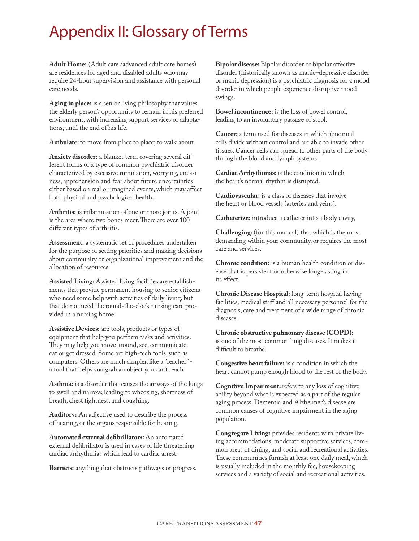# Appendix II: Glossary of Terms

**Adult Home:** (Adult care /advanced adult care homes) are residences for aged and disabled adults who may require 24-hour supervision and assistance with personal care needs.

**Aging in place:** is a senior living philosophy that values the elderly person's opportunity to remain in his preferred environment, with increasing support services or adaptations, until the end of his life.

**Ambulate:** to move from place to place; to walk about.

**Anxiety disorder:** a blanket term covering several different forms of a type of common psychiatric disorder characterized by excessive rumination, worrying, uneasiness, apprehension and fear about future uncertainties either based on real or imagined events, which may affect both physical and psychological health.

**Arthritis:** is inflammation of one or more joints. A joint is the area where two bones meet. There are over 100 different types of arthritis.

**Assessment:** a systematic set of procedures undertaken for the purpose of setting priorities and making decisions about community or organizational improvement and the allocation of resources.

**Assisted Living:** Assisted living facilities are establishments that provide permanent housing to senior citizens who need some help with activities of daily living, but that do not need the round-the-clock nursing care provided in a nursing home.

**Assistive Devices:** are tools, products or types of equipment that help you perform tasks and activities. They may help you move around, see, communicate, eat or get dressed. Some are high-tech tools, such as computers. Others are much simpler, like a "reacher" a tool that helps you grab an object you can't reach.

**Asthma:** is a disorder that causes the airways of the lungs to swell and narrow, leading to wheezing, shortness of breath, chest tightness, and coughing.

**Auditory:** An adjective used to describe the process of hearing, or the organs responsible for hearing.

**Automated external defibrillators:** An automated external defibrillator is used in cases of life threatening cardiac arrhythmias which lead to cardiac arrest.

**Barriers:** anything that obstructs pathways or progress.

**Bipolar disease:** Bipolar disorder or bipolar affective disorder (historically known as manic–depressive disorder or manic depression) is a psychiatric diagnosis for a mood disorder in which people experience disruptive mood swings.

**Bowel incontinence:** is the loss of bowel control, leading to an involuntary passage of stool.

**Cancer:** a term used for diseases in which abnormal cells divide without control and are able to invade other tissues. Cancer cells can spread to other parts of the body through the blood and lymph systems.

**Cardiac Arrhythmias:** is the condition in which the heart's normal rhythm is disrupted.

**Cardiovascular:** is a class of diseases that involve the heart or blood vessels (arteries and veins).

**Catheterize:** introduce a catheter into a body cavity,

**Challenging:** (for this manual) that which is the most demanding within your community, or requires the most care and services.

**Chronic condition:** is a human health condition or disease that is persistent or otherwise long-lasting in its effect.

**Chronic Disease Hospital:** long-term hospital having facilities, medical staff and all necessary personnel for the diagnosis, care and treatment of a wide range of chronic diseases.

**Chronic obstructive pulmonary disease (COPD):** is one of the most common lung diseases. It makes it difficult to breathe.

**Congestive heart failure:** is a condition in which the heart cannot pump enough blood to the rest of the body.

**Cognitive Impairment:** refers to any loss of cognitive ability beyond what is expected as a part of the regular aging process. Dementia and Alzheimer's disease are common causes of cognitive impairment in the aging population.

**Congregate Living:** provides residents with private living accommodations, moderate supportive services, common areas of dining, and social and recreational activities. These communities furnish at least one daily meal, which is usually included in the monthly fee, housekeeping services and a variety of social and recreational activities.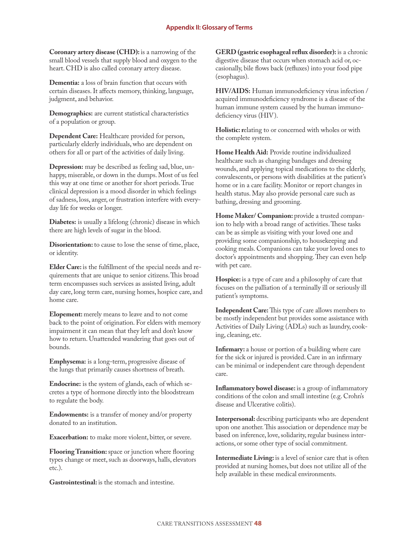**Coronary artery disease (CHD):** is a narrowing of the small blood vessels that supply blood and oxygen to the heart. CHD is also called coronary artery disease.

**Dementia:** a loss of brain function that occurs with certain diseases. It affects memory, thinking, language, judgment, and behavior.

**Demographics:** are current statistical characteristics of a population or group.

**Dependent Care:** Healthcare provided for person, particularly elderly individuals, who are dependent on others for all or part of the activities of daily living.

**Depression:** may be described as feeling sad, blue, unhappy, miserable, or down in the dumps. Most of us feel this way at one time or another for short periods. True clinical depression is a mood disorder in which feelings of sadness, loss, anger, or frustration interfere with everyday life for weeks or longer.

**Diabetes:** is usually a lifelong (chronic) disease in which there are high levels of sugar in the blood.

**Disorientation:** to cause to lose the sense of time, place, or identity.

**Elder Care:** is the fulfillment of the special needs and requirements that are unique to senior citizens. This broad term encompasses such services as assisted living, adult day care, long term care, nursing homes, hospice care, and home care.

**Elopement:** merely means to leave and to not come back to the point of origination. For elders with memory impairment it can mean that they left and don't know how to return. Unattended wandering that goes out of bounds.

**Emphysema:** is a long-term, progressive disease of the lungs that primarily causes shortness of breath.

**Endocrine:** is the system of glands, each of which secretes a type of hormone directly into the bloodstream to regulate the body.

**Endowments:** is a transfer of money and/or property donated to an institution.

**Exacerbation:** to make more violent, bitter, or severe.

**Flooring Transition:** space or junction where flooring types change or meet, such as doorways, halls, elevators etc.).

**Gastrointestinal:** is the stomach and intestine.

**GERD (gastric esophageal reflux disorder):** is a chronic digestive disease that occurs when stomach acid or, occasionally, bile flows back (refluxes) into your food pipe (esophagus).

**HIV/AIDS:** Human immunodeficiency virus infection / acquired immunodeficiency syndrome is a disease of the human immune system caused by the human immunodeficiency virus (HIV).

**Holistic: r**elating to or concerned with wholes or with the complete system.

**Home Health Aid:** Provide routine individualized healthcare such as changing bandages and dressing wounds, and applying topical medications to the elderly, convalescents, or persons with disabilities at the patient's home or in a care facility. Monitor or report changes in health status. May also provide personal care such as bathing, dressing and grooming.

Home Maker/ Companion: provide a trusted companion to help with a broad range of activities. These tasks can be as simple as visiting with your loved one and providing some companionship, to housekeeping and cooking meals. Companions can take your loved ones to doctor's appointments and shopping. They can even help with pet care.

**Hospice:** is a type of care and a philosophy of care that focuses on the palliation of a terminally ill or seriously ill patient's symptoms.

**Independent Care:** This type of care allows members to be mostly independent but provides some assistance with Activities of Daily Living (ADLs) such as laundry, cooking, cleaning, etc.

**Infirmary:** a house or portion of a building where care for the sick or injured is provided. Care in an infirmary can be minimal or independent care through dependent care.

**Inflammatory bowel disease:** is a group of inflammatory conditions of the colon and small intestine (e.g. Crohn's disease and Ulcerative colitis).

**Interpersonal:** describing participants who are dependent upon one another. This association or dependence may be based on inference, love, solidarity, regular business interactions, or some other type of social commitment.

**Intermediate Living:** is a level of senior care that is often provided at nursing homes, but does not utilize all of the help available in these medical environments.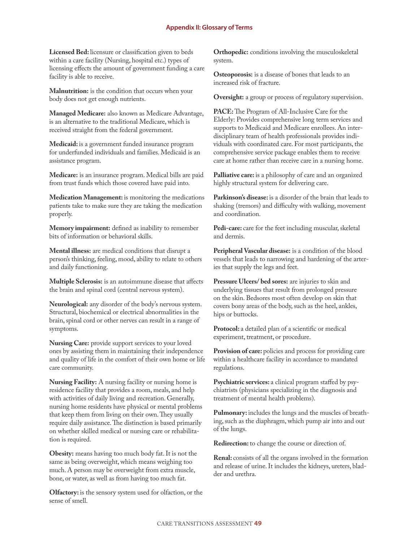**Licensed Bed:** licensure or classification given to beds within a care facility (Nursing, hospital etc.) types of licensing effects the amount of government funding a care facility is able to receive.

**Malnutrition:** is the condition that occurs when your body does not get enough nutrients.

**Managed Medicare:** also known as Medicare Advantage, is an alternative to the traditional Medicare, which is received straight from the federal government.

**Medicaid:** is a government funded insurance program for underfunded individuals and families. Medicaid is an assistance program.

**Medicare:** is an insurance program. Medical bills are paid from trust funds which those covered have paid into.

**Medication Management:** is monitoring the medications patients take to make sure they are taking the medication properly.

**Memory impairment:** defined as inability to remember bits of information or behavioral skills.

**Mental illness:** are medical conditions that disrupt a person's thinking, feeling, mood, ability to relate to others and daily functioning.

**Multiple Sclerosis:** is an autoimmune disease that affects the brain and spinal cord (central nervous system).

**Neurological:** any disorder of the body's nervous system. Structural, biochemical or electrical abnormalities in the brain, spinal cord or other nerves can result in a range of symptoms.

**Nursing Care:** provide support services to your loved ones by assisting them in maintaining their independence and quality of life in the comfort of their own home or life care community.

**Nursing Facility:** A nursing facility or nursing home is residence facility that provides a room, meals, and help with activities of daily living and recreation. Generally, nursing home residents have physical or mental problems that keep them from living on their own. They usually require daily assistance. The distinction is based primarily on whether skilled medical or nursing care or rehabilitation is required.

**Obesity:** means having too much body fat. It is not the same as being overweight, which means weighing too much. A person may be overweight from extra muscle, bone, or water, as well as from having too much fat.

**Olfactory:** is the sensory system used for olfaction, or the sense of smell.

**Orthopedic:** conditions involving the musculoskeletal system.

**Osteoporosis:** is a disease of bones that leads to an increased risk of fracture.

**Oversight:** a group or process of regulatory supervision.

**PACE:** The Program of All-Inclusive Care for the Elderly: Provides comprehensive long term services and supports to Medicaid and Medicare enrollees. An interdisciplinary team of health professionals provides individuals with coordinated care. For most participants, the comprehensive service package enables them to receive care at home rather than receive care in a nursing home.

**Palliative care:** is a philosophy of care and an organized highly structural system for delivering care.

**Parkinson's disease:** is a disorder of the brain that leads to shaking (tremors) and difficulty with walking, movement and coordination.

Pedi-care: care for the feet including muscular, skeletal and dermis.

**Peripheral Vascular disease:** is a condition of the blood vessels that leads to narrowing and hardening of the arteries that supply the legs and feet.

**Pressure Ulcers/ bed sores:** are injuries to skin and underlying tissues that result from prolonged pressure on the skin. Bedsores most often develop on skin that covers bony areas of the body, such as the heel, ankles, hips or buttocks.

**Protocol:** a detailed plan of a scientific or medical experiment, treatment, or procedure.

Provision of care: policies and process for providing care within a healthcare facility in accordance to mandated regulations.

**Psychiatric services:** a clinical program staffed by psychiatrists (physicians specializing in the diagnosis and treatment of mental health problems).

**Pulmonary:** includes the lungs and the muscles of breathing, such as the diaphragm, which pump air into and out of the lungs.

**Redirection:** to change the course or direction of.

**Renal:** consists of all the organs involved in the formation and release of urine. It includes the kidneys, ureters, bladder and urethra.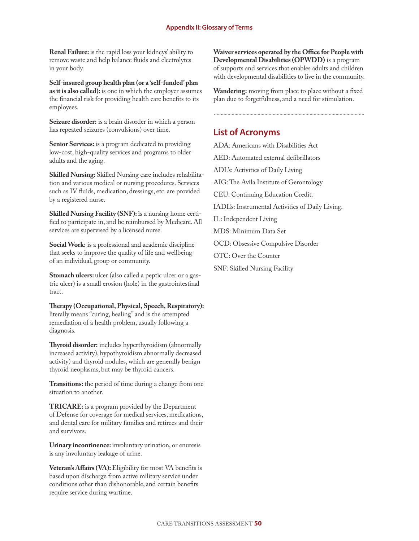**Renal Failure:** is the rapid loss your kidneys' ability to remove waste and help balance fluids and electrolytes in your body.

**Self-insured group health plan (or a 'self-funded' plan as it is also called):** is one in which the employer assumes the financial risk for providing health care benefits to its employees.

**Seizure disorder:** is a brain disorder in which a person has repeated seizures (convulsions) over time.

**Senior Services:** is a program dedicated to providing low-cost, high-quality services and programs to older adults and the aging.

**Skilled Nursing:** Skilled Nursing care includes rehabilitation and various medical or nursing procedures. Services such as IV fluids, medication, dressings, etc. are provided by a registered nurse.

**Skilled Nursing Facility (SNF):** is a nursing home certified to participate in, and be reimbursed by Medicare. All services are supervised by a licensed nurse.

**Social Work:** is a professional and academic discipline that seeks to improve the quality of life and wellbeing of an individual, group or community.

**Stomach ulcers:** ulcer (also called a peptic ulcer or a gastric ulcer) is a small erosion (hole) in the gastrointestinal tract.

**Therapy (Occupational, Physical, Speech, Respiratory):** literally means "curing, healing" and is the attempted remediation of a health problem, usually following a diagnosis.

**Thyroid disorder:** includes hyperthyroidism (abnormally increased activity), hypothyroidism abnormally decreased activity) and thyroid nodules, which are generally benign thyroid neoplasms, but may be thyroid cancers.

**Transitions:** the period of time during a change from one situation to another.

**TRICARE:** is a program provided by the Department of Defense for coverage for medical services, medications, and dental care for military families and retirees and their and survivors.

**Urinary incontinence:** involuntary urination, or enuresis is any involuntary leakage of urine.

**Veteran's Affairs (VA):** Eligibility for most VA benefits is based upon discharge from active military service under conditions other than dishonorable, and certain benefits require service during wartime.

**Waiver services operated by the Office for People with Developmental Disabilities (OPWDD)** is a program of supports and services that enables adults and children with developmental disabilities to live in the community.

**Wandering:** moving from place to place without a fixed plan due to forgetfulness, and a need for stimulation.

# **List of Acronyms**

ADA: Americans with Disabilities Act

AED: Automated external defibrillators

ADL's: Activities of Daily Living

AIG: The Avila Institute of Gerontology

CEU: Continuing Education Credit.

IADL's: Instrumental Activities of Daily Living.

IL: Independent Living

MDS: Minimum Data Set

OCD: Obsessive Compulsive Disorder

OTC: Over the Counter

SNF: Skilled Nursing Facility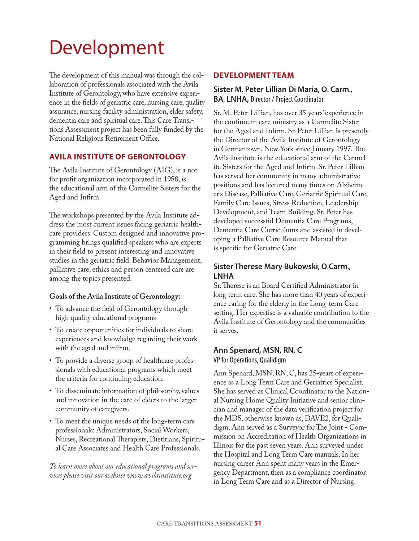# Development

The development of this manual was through the collaboration of professionals associated with the Avila Institute of Gerontology, who have extensive experience in the fields of geriatric care, nursing care, quality assurance, nursing facility administration, elder safety, dementia care and spiritual care. This Care Transitions Assessment project has been fully funded by the National Religious Retirement Office.

# **AVILA INSTITUTE OF GERONTOLOGY**

The Avila Institute of Gerontology (AIG), is a not for profit organization incorporated in 1988, is the educational arm of the Carmelite Sisters for the Aged and Infirm.

The workshops presented by the Avila Institute address the most current issues facing geriatric healthcare providers. Custom designed and innovative programming brings qualified speakers who are experts in their field to present interesting and innovative studies in the geriatric field. Behavior Management, palliative care, ethics and person centered care are among the topics presented.

# **Goals of the Avila Institute of Gerontology:**

- To advance the field of Gerontology through high quality educational programs
- To create opportunities for individuals to share experiences and knowledge regarding their work with the aged and infirm.
- To provide a diverse group of healthcare professionals with educational programs which meet the criteria for continuing education.
- To disseminate information of philosophy, values and innovation in the care of elders to the larger community of caregivers.
- To meet the unique needs of the long-term care professionals: Administrators, Social Workers, Nurses, Recreational Therapists, Dietitians, Spiritual Care Associates and Health Care Professionals.

*To learn more about our educational programs and services please visit our website www.avilainstitute.org*

# **DEVELOPMENT TEAM**

# **Sister M. Peter Lillian Di Maria, O. Carm., BA, LNHA,** Director / Project Coordinator

Sr. M. Peter Lillian, has over 35 years' experience in the continuum care ministry as a Carmelite Sister for the Aged and Infirm. Sr. Peter Lillian is presently the Director of the Avila Institute of Gerontology in Germantown, New York since January 1997. The Avila Institute is the educational arm of the Carmelite Sisters for the Aged and Infirm. Sr. Peter Lillian has served her community in many administrative positions and has lectured many times on Alzheimer's Disease, Palliative Care, Geriatric Spiritual Care, Family Care Issues, Stress Reduction, Leadership Development, and Team Building. Sr. Peter has developed successful Dementia Care Programs, Dementia Care Curriculums and assisted in developing a Palliative Care Resource Manual that is specific for Geriatric Care.

# **Sister Therese Mary Bukowski, O.Carm., LNHA**

Sr. Therese is an Board Certified Administrator in long term care. She has more than 40 years of experience caring for the elderly in the Long-term Care setting. Her expertise is a valuable contribution to the Avila Institute of Gerontology and the communities it serves.

# **Ann Spenard, MSN, RN, C**

VP for Operations, Qualidigm

Ann Spenard, MSN, RN, C, has 25-years of experience as a Long Term Care and Geriatrics Specialist. She has served as Clinical Coordinator to the National Nursing Home Quality Initiative and senior clinician and manager of the data verification project for the MDS, otherwise known as, DAVE2, for Qualidigm. Ann served as a Surveyor for The Joint - Commission on Accreditation of Health Organizations in Illinois for the past seven years. Ann surveyed under the Hospital and Long Term Care manuals. In her nursing career Ann spent many years in the Emergency Department, then as a compliance coordinator in Long Term Care and as a Director of Nursing.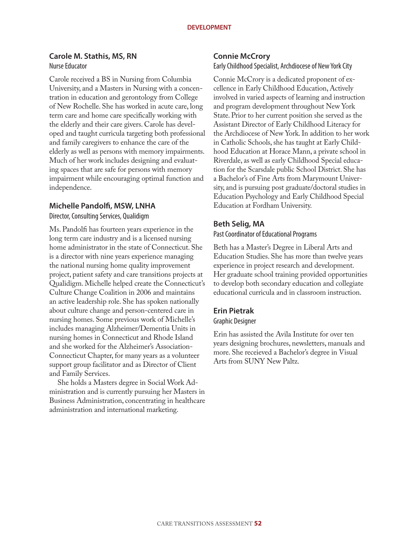# **Carole M. Stathis, MS, RN** Nurse Educator

Carole received a BS in Nursing from Columbia University, and a Masters in Nursing with a concentration in education and gerontology from College of New Rochelle. She has worked in acute care, long term care and home care specifically working with the elderly and their care givers. Carole has developed and taught curricula targeting both professional and family caregivers to enhance the care of the elderly as well as persons with memory impairments. Much of her work includes designing and evaluating spaces that are safe for persons with memory impairment while encouraging optimal function and independence.

# **Michelle Pandolfi, MSW, LNHA**

Director, Consulting Services, Qualidigm

Ms. Pandolfi has fourteen years experience in the long term care industry and is a licensed nursing home administrator in the state of Connecticut. She is a director with nine years experience managing the national nursing home quality improvement project, patient safety and care transitions projects at Qualidigm. Michelle helped create the Connecticut's Culture Change Coalition in 2006 and maintains an active leadership role. She has spoken nationally about culture change and person-centered care in nursing homes. Some previous work of Michelle's includes managing Alzheimer/Dementia Units in nursing homes in Connecticut and Rhode Island and she worked for the Alzheimer's Association-Connecticut Chapter, for many years as a volunteer support group facilitator and as Director of Client and Family Services.

She holds a Masters degree in Social Work Administration and is currently pursuing her Masters in Business Administration, concentrating in healthcare administration and international marketing.

# **Connie McCrory**

Early Childhood Specialist, Archdiocese of New York City

Connie McCrory is a dedicated proponent of excellence in Early Childhood Education, Actively involved in varied aspects of learning and instruction and program development throughout New York State. Prior to her current position she served as the Assistant Director of Early Childhood Literacy for the Archdiocese of New York. In addition to her work in Catholic Schools, she has taught at Early Childhood Education at Horace Mann, a private school in Riverdale, as well as early Childhood Special education for the Scarsdale public School District. She has a Bachelor's of Fine Arts from Marymount University, and is pursuing post graduate/doctoral studies in Education Psychology and Early Childhood Special Education at Fordham University.

# **Beth Selig, MA**

Past Coordinator of Educational Programs

Beth has a Master's Degree in Liberal Arts and Education Studies. She has more than twelve years experience in project research and development. Her graduate school training provided opportunities to develop both secondary education and collegiate educational curricula and in classroom instruction.

# **Erin Pietrak**

# Graphic Designer

Erin has assisted the Avila Institute for over ten years designing brochures, newsletters, manuals and more. She receieved a Bachelor's degree in Visual Arts from SUNY New Paltz.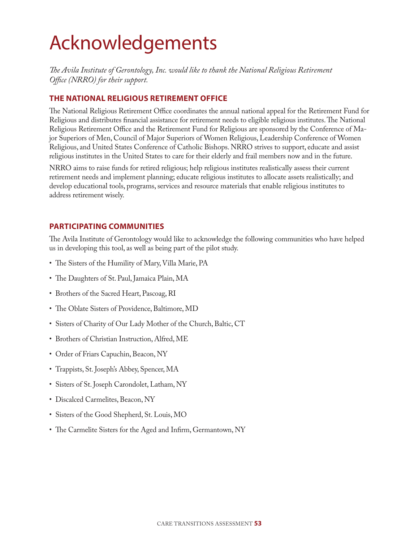# Acknowledgements

*The Avila Institute of Gerontology, Inc. would like to thank the National Religious Retirement Office (NRRO) for their support.*

# **THE NATIONAL RELIGIOUS RETIREMENT OFFICE**

The National Religious Retirement Office coordinates the annual national appeal for the Retirement Fund for Religious and distributes financial assistance for retirement needs to eligible religious institutes. The National Religious Retirement Office and the Retirement Fund for Religious are sponsored by the Conference of Major Superiors of Men, Council of Major Superiors of Women Religious, Leadership Conference of Women Religious, and United States Conference of Catholic Bishops. NRRO strives to support, educate and assist religious institutes in the United States to care for their elderly and frail members now and in the future.

NRRO aims to raise funds for retired religious; help religious institutes realistically assess their current retirement needs and implement planning; educate religious institutes to allocate assets realistically; and develop educational tools, programs, services and resource materials that enable religious institutes to address retirement wisely.

# **PARTICIPATING COMMUNITIES**

The Avila Institute of Gerontology would like to acknowledge the following communities who have helped us in developing this tool, as well as being part of the pilot study.

- The Sisters of the Humility of Mary, Villa Marie, PA
- The Daughters of St. Paul, Jamaica Plain, MA
- Brothers of the Sacred Heart, Pascoag, RI
- The Oblate Sisters of Providence, Baltimore, MD
- Sisters of Charity of Our Lady Mother of the Church, Baltic, CT
- Brothers of Christian Instruction, Alfred, ME
- Order of Friars Capuchin, Beacon, NY
- Trappists, St. Joseph's Abbey, Spencer, MA
- Sisters of St. Joseph Carondolet, Latham, NY
- Discalced Carmelites, Beacon, NY
- Sisters of the Good Shepherd, St. Louis, MO
- The Carmelite Sisters for the Aged and Infirm, Germantown, NY